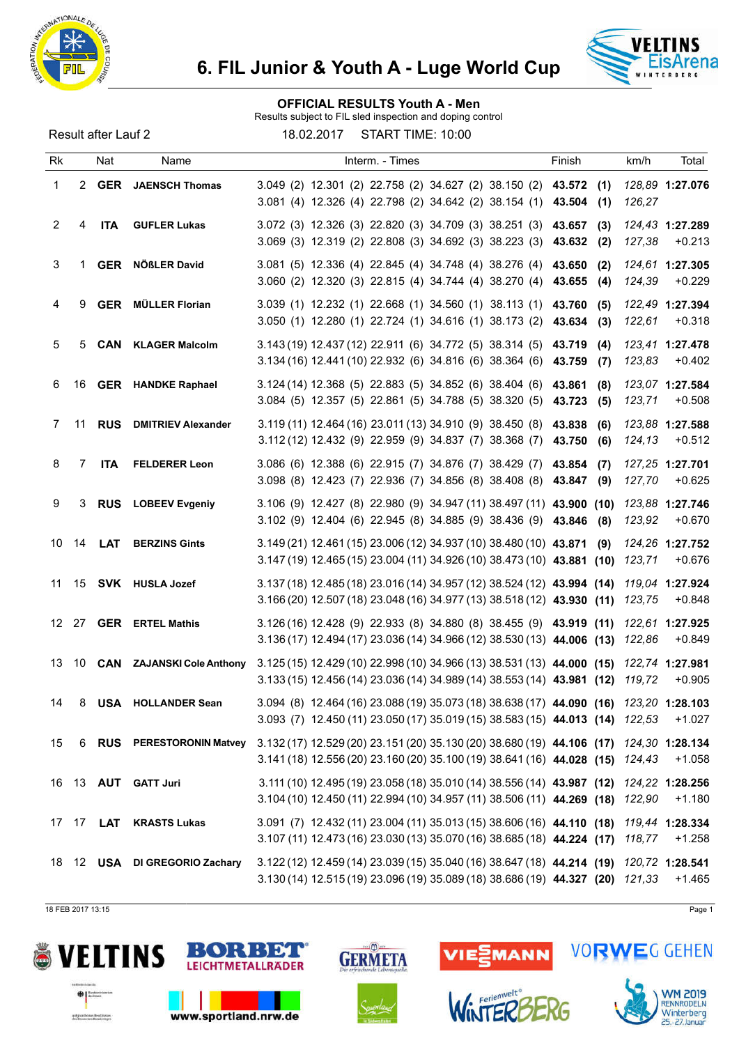



#### OFFICIAL RESULTS Youth A - Men

Results subject to FIL sled inspection and doping control

Result after Lauf 2 18.02.2017 START TIME: 10:00

| Rk    |    | Nat        | Name                           | Interm. - Times                                                                                                                                                         | Finish                         | km/h<br>Total                         |
|-------|----|------------|--------------------------------|-------------------------------------------------------------------------------------------------------------------------------------------------------------------------|--------------------------------|---------------------------------------|
| 1     |    |            | 2 GER JAENSCH Thomas           | 3.049 (2) 12.301 (2) 22.758 (2) 34.627 (2) 38.150 (2) 43.572<br>3.081 (4) 12.326 (4) 22.798 (2) 34.642 (2) 38.154 (1)                                                   | (1)<br>43.504<br>(1)           | 128,89 1:27.076<br>126,27             |
| 2     | 4  | <b>ITA</b> | <b>GUFLER Lukas</b>            | 3.072 (3) 12.326 (3) 22.820 (3) 34.709 (3) 38.251 (3)<br>3.069 (3) 12.319 (2) 22.808 (3) 34.692 (3) 38.223 (3)                                                          | 43.657<br>(3)<br>43.632 (2)    | 124,43 1:27.289<br>127,38<br>$+0.213$ |
| 3     | 1  |            | GER NÖßLER David               | 3.081 (5) 12.336 (4) 22.845 (4) 34.748 (4) 38.276 (4)<br>3.060 (2) 12.320 (3) 22.815 (4) 34.744 (4) 38.270 (4)                                                          | 43.650<br>(2)<br>43.655<br>(4) | 124,61 1:27.305<br>$+0.229$<br>124,39 |
| 4     | 9  |            | <b>GER</b> MÜLLER Florian      | 3.039 (1) 12.232 (1) 22.668 (1) 34.560 (1) 38.113 (1)<br>3.050 (1) 12.280 (1) 22.724 (1) 34.616 (1) 38.173 (2)                                                          | 43.760<br>(5)<br>43.634<br>(3) | 122,49 1:27.394<br>122,61<br>$+0.318$ |
| 5     | 5  |            | <b>CAN</b> KLAGER Malcolm      | 3.143 (19) 12.437 (12) 22.911 (6) 34.772 (5) 38.314 (5)<br>3.134 (16) 12.441 (10) 22.932 (6) 34.816 (6) 38.364 (6)                                                      | 43.719<br>(4)<br>43.759<br>(7) | 123,41 1:27.478<br>123,83<br>$+0.402$ |
| 6     |    |            | 16 GER HANDKE Raphael          | 3.124 (14) 12.368 (5) 22.883 (5) 34.852 (6) 38.404 (6)<br>3.084 (5) 12.357 (5) 22.861 (5) 34.788 (5) 38.320 (5)                                                         | 43.861<br>(8)<br>43.723<br>(5) | 123,07 1:27.584<br>123,71<br>$+0.508$ |
| 7     | 11 | <b>RUS</b> | <b>DMITRIEV Alexander</b>      | 3.119 (11) 12.464 (16) 23.011 (13) 34.910 (9) 38.450 (8)<br>3.112 (12) 12.432 (9) 22.959 (9) 34.837 (7) 38.368 (7)                                                      | 43,838<br>(6)<br>43.750<br>(6) | 123,88 1:27.588<br>124,13<br>$+0.512$ |
| 8     | 7  | <b>ITA</b> | <b>FELDERER Leon</b>           | 3.086 (6) 12.388 (6) 22.915 (7) 34.876 (7) 38.429 (7)<br>3.098 (8) 12.423 (7) 22.936 (7) 34.856 (8) 38.408 (8)                                                          | 43.854<br>(7)<br>43.847 (9)    | 127,25 1:27.701<br>127,70<br>$+0.625$ |
| 9     | 3  |            | <b>RUS</b> LOBEEV Evgeniy      | 3.106 (9) 12.427 (8) 22.980 (9) 34.947 (11) 38.497 (11) 43.900 (10)<br>3.102 (9) 12.404 (6) 22.945 (8) 34.885 (9) 38.436 (9) 43.846                                     | (8)                            | 123,88 1:27.746<br>123,92<br>$+0.670$ |
| 10    | 14 | <b>LAT</b> | <b>BERZINS Gints</b>           | 3.149 (21) 12.461 (15) 23.006 (12) 34.937 (10) 38.480 (10) 43.871 (9)<br>3.147 (19) 12.465 (15) 23.004 (11) 34.926 (10) 38.473 (10) 43.881 (10)                         |                                | 124,26 1:27.752<br>123,71<br>$+0.676$ |
| 11    |    |            | 15 SVK HUSLA Jozef             | 3.137 (18) 12.485 (18) 23.016 (14) 34.957 (12) 38.524 (12) 43.994 (14)<br>3.166 (20) 12.507 (18) 23.048 (16) 34.977 (13) 38.518 (12) 43.930 (11)                        |                                | 119.04 1:27.924<br>123,75<br>$+0.848$ |
| 12    |    |            | 27 GER ERTEL Mathis            | 3.126(16) 12.428 (9) 22.933 (8) 34.880 (8) 38.455 (9) 43.919 (11)<br>3.136 (17) 12.494 (17) 23.036 (14) 34.966 (12) 38.530 (13) 44.006 (13)                             |                                | 122,61 1:27.925<br>$+0.849$<br>122,86 |
| 13    |    |            | 10 CAN ZAJANSKI Cole Anthony   | 3.125 (15) 12.429 (10) 22.998 (10) 34.966 (13) 38.531 (13) 44.000 (15)<br>3.133 (15) 12.456 (14) 23.036 (14) 34.989 (14) 38.553 (14) 43.981 (12)                        |                                | 122,74 1:27.981<br>119,72<br>$+0.905$ |
| 14    | 8  |            | <b>USA</b> HOLLANDER Sean      | 3.094 (8) 12.464 (16) 23.088 (19) 35.073 (18) 38.638 (17) 44.090 (16) 123,20 1:28.103<br>3.093 (7) 12.450 (11) 23.050 (17) 35.019 (15) 38.583 (15) 44.013 (14) 122,53   |                                | $+1.027$                              |
| 15    | 6  |            | <b>RUS</b> PERESTORONIN Matvey | 3.132 (17) 12.529 (20) 23.151 (20) 35.130 (20) 38.680 (19) 44.106 (17) 124,30 1:28.134<br>3.141 (18) 12.556 (20) 23.160 (20) 35.100 (19) 38.641 (16) 44.028 (15) 124,43 |                                | $+1.058$                              |
|       |    |            | 16 13 AUT GATT Juri            | 3.111 (10) 12.495 (19) 23.058 (18) 35.010 (14) 38.556 (14) 43.987 (12)<br>3.104 (10) 12.450 (11) 22.994 (10) 34.957 (11) 38.506 (11) 44.269 (18)                        |                                | 124,22 1:28.256<br>$+1.180$<br>122,90 |
| 17 17 |    | LAT        | <b>KRASTS Lukas</b>            | 3.091 (7) 12.432 (11) 23.004 (11) 35.013 (15) 38.606 (16) 44.110 (18)<br>3.107 (11) 12.473 (16) 23.030 (13) 35.070 (16) 38.685 (18) 44.224 (17)                         |                                | 119,44 1:28.334<br>118,77<br>$+1.258$ |
|       |    |            | 18 12 USA DI GREGORIO Zachary  | 3.122 (12) 12.459 (14) 23.039 (15) 35.040 (16) 38.647 (18) 44.214 (19)<br>3.130 (14) 12.515 (19) 23.096 (19) 35.089 (18) 38.686 (19) 44.327 (20) 121,33                 |                                | 120.72 1:28.541<br>$+1.465$           |

18 FEB 2017 13:15 Page 1





www.sportland.nrw.de







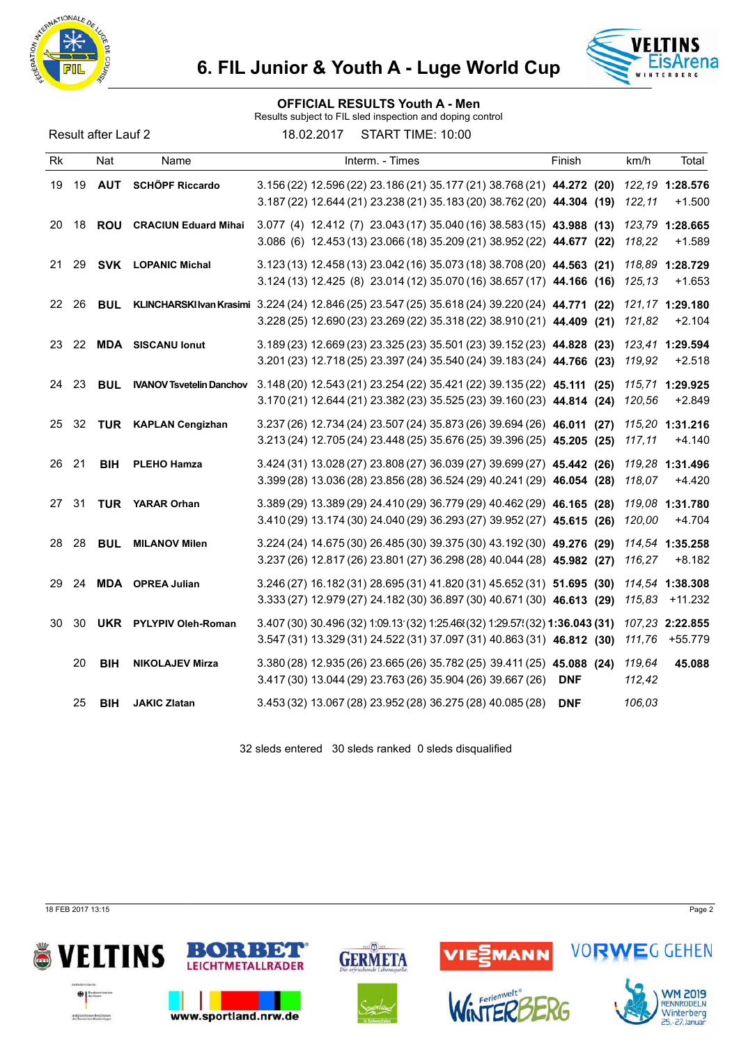



#### OFFICIAL RESULTS Youth A - Men

Results subject to FIL sled inspection and doping control

Result after Lauf 2 18.02.2017 START TIME: 10:00

| Rk  |    | Nat        | Name                            | Interm. - Times                                                                                                                                                           | Finish     | km/h             | Total                        |
|-----|----|------------|---------------------------------|---------------------------------------------------------------------------------------------------------------------------------------------------------------------------|------------|------------------|------------------------------|
| 19  | 19 | <b>AUT</b> | <b>SCHÖPF Riccardo</b>          | 3.156 (22) 12.596 (22) 23.186 (21) 35.177 (21) 38.768 (21) 44.272 (20)<br>3.187 (22) 12.644 (21) 23.238 (21) 35.183 (20) 38.762 (20) 44.304 (19)                          |            | 122,11           | 122, 19 1:28.576<br>$+1.500$ |
| 20  | 18 |            | <b>ROU</b> CRACIUN Eduard Mihai | 3.077 (4) 12.412 (7) 23.043 (17) 35.040 (16) 38.583 (15) 43.988 (13)<br>3.086 (6) 12.453 (13) 23.066 (18) 35.209 (21) 38.952 (22) 44.677 (22)                             |            | 118,22           | 123,79 1:28.665<br>$+1.589$  |
| 21  | 29 |            | <b>SVK LOPANIC Michal</b>       | 3.123 (13) 12.458 (13) 23.042 (16) 35.073 (18) 38.708 (20) 44.563 (21)<br>3.124 (13) 12.425 (8) 23.014 (12) 35.070 (16) 38.657 (17) 44.166 (16)                           |            | 125.13           | 118,89 1:28.729<br>$+1.653$  |
| 22  | 26 | <b>BUL</b> |                                 | KLINCHARSKI Ivan Krasimi 3.224 (24) 12.846 (25) 23.547 (25) 35.618 (24) 39.220 (24) 44.771 (22)<br>3.228 (25) 12.690 (23) 23.269 (22) 35.318 (22) 38.910 (21) 44.409 (21) |            | 121,82           | 121,17 1:29.180<br>$+2.104$  |
| 23. |    |            | 22 MDA SISCANU Ionut            | 3.189 (23) 12.669 (23) 23.325 (23) 35.501 (23) 39.152 (23) 44.828 (23)<br>3.201 (23) 12.718 (25) 23.397 (24) 35.540 (24) 39.183 (24) 44.766 (23)                          |            | 119,92           | 123,41 1:29.594<br>$+2.518$  |
| 24  | 23 | <b>BUL</b> | <b>IVANOV Tsvetelin Danchov</b> | 3.148 (20) 12.543 (21) 23.254 (22) 35.421 (22) 39.135 (22) 45.111 (25)<br>3.170 (21) 12.644 (21) 23.382 (23) 35.525 (23) 39.160 (23) 44.814 (24)                          |            | 120,56           | 115,71 1:29.925<br>$+2.849$  |
| 25  | 32 |            | TUR KAPLAN Cengizhan            | 3.237 (26) 12.734 (24) 23.507 (24) 35.873 (26) 39.694 (26) 46.011 (27)<br>3.213 (24) 12.705 (24) 23.448 (25) 35.676 (25) 39.396 (25) 45.205 (25)                          |            | 117,11           | 115,20 1:31.216<br>$+4.140$  |
| 26  | 21 | <b>BIH</b> | <b>PLEHO Hamza</b>              | 3.424 (31) 13.028 (27) 23.808 (27) 36.039 (27) 39.699 (27) 45.442 (26)<br>3.399 (28) 13.036 (28) 23.856 (28) 36.524 (29) 40.241 (29) 46.054 (28)                          |            | 118,07           | 119,28 1:31.496<br>$+4.420$  |
| 27  | 31 |            | <b>TUR</b> YARAR Orhan          | 3.389 (29) 13.389 (29) 24.410 (29) 36.779 (29) 40.462 (29) 46.165 (28)<br>3.410 (29) 13.174 (30) 24.040 (29) 36.293 (27) 39.952 (27) 45.615 (26)                          |            | 120,00           | 119.08 1:31.780<br>$+4.704$  |
| 28  | 28 | <b>BUL</b> | <b>MILANOV Milen</b>            | 3.224 (24) 14.675 (30) 26.485 (30) 39.375 (30) 43.192 (30) 49.276 (29)<br>3.237 (26) 12.817 (26) 23.801 (27) 36.298 (28) 40.044 (28) 45.982 (27)                          |            | 116,27           | 114,54 1:35.258<br>$+8.182$  |
| 29  | 24 |            | <b>MDA</b> OPREA Julian         | 3.246 (27) 16.182 (31) 28.695 (31) 41.820 (31) 45.652 (31) 51.695 (30)<br>3.333 (27) 12.979 (27) 24.182 (30) 36.897 (30) 40.671 (30) 46.613 (29)                          |            | 115,83           | 114,54 1:38.308<br>+11.232   |
| 30  | 30 |            | <b>UKR</b> PYLYPIV Oleh-Roman   | 3.407 (30) 30.496 (32) 1:09.13 (32) 1:25.46 $(32)$ 1:29.57 $(32)$ 1:36.043 (31)<br>3.547 (31) 13.329 (31) 24.522 (31) 37.097 (31) 40.863 (31) 46.812 (30)                 |            | 111,76           | 107,23 2:22.855<br>+55.779   |
|     | 20 | <b>BIH</b> | <b>NIKOLAJEV Mirza</b>          | 3.380 (28) 12.935 (26) 23.665 (26) 35.782 (25) 39.411 (25) 45.088 (24)<br>3.417 (30) 13.044 (29) 23.763 (26) 35.904 (26) 39.667 (26)                                      | <b>DNF</b> | 119,64<br>112,42 | 45.088                       |
|     | 25 | <b>BIH</b> | <b>JAKIC Zlatan</b>             | 3.453 (32) 13.067 (28) 23.952 (28) 36.275 (28) 40.085 (28)                                                                                                                | <b>DNF</b> | 106,03           |                              |

32 sleds entered 30 sleds ranked 0 sleds disqualified

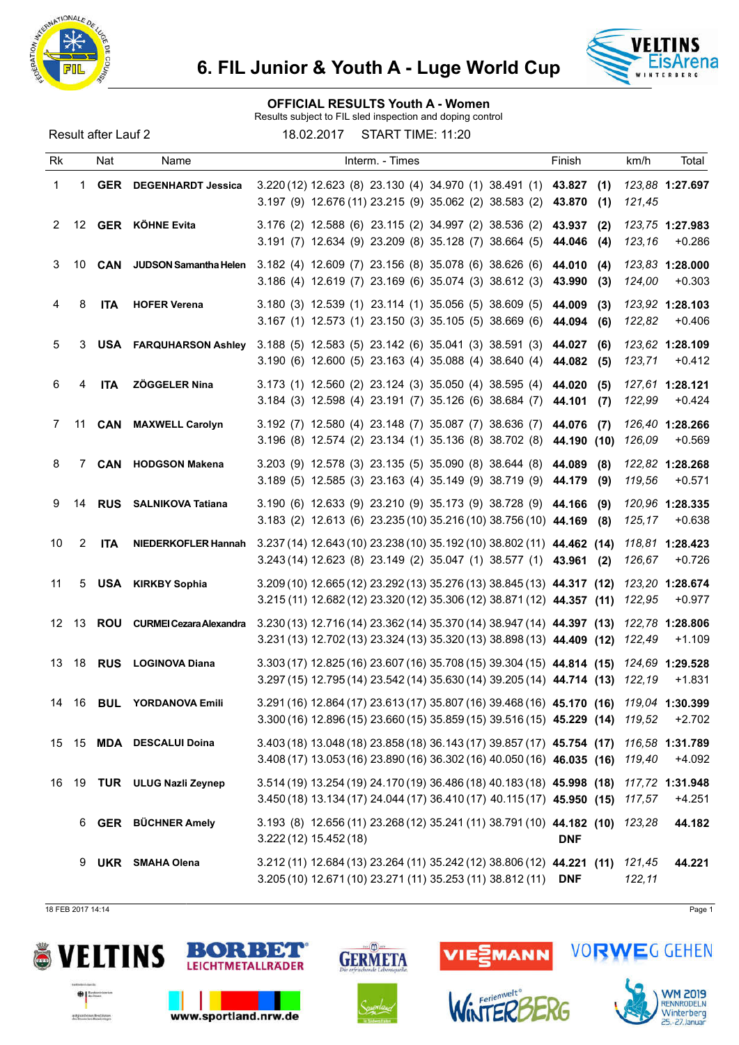



#### OFFICIAL RESULTS Youth A - Women

Results subject to FIL sled inspection and doping control

Result after Lauf 2 18.02.2017 START TIME: 11:20

| Rk |             | Nat        | Name                              | Interm. - Times                                                                                                                                                  | Finish                         | km/h<br>Total                         |
|----|-------------|------------|-----------------------------------|------------------------------------------------------------------------------------------------------------------------------------------------------------------|--------------------------------|---------------------------------------|
| 1  | 1.          |            | <b>GER</b> DEGENHARDT Jessica     | 3.220 (12) 12.623 (8) 23.130 (4) 34.970 (1) 38.491 (1) 43.827<br>3.197 (9) 12.676 (11) 23.215 (9) 35.062 (2) 38.583 (2)                                          | (1)<br>43.870 (1)              | 123,88 1:27.697<br>121,45             |
| 2  |             |            | 12 GER KÖHNE Evita                | 3.176 (2) 12.588 (6) 23.115 (2) 34.997 (2) 38.536 (2)<br>3.191 (7) 12.634 (9) 23.209 (8) 35.128 (7) 38.664 (5)                                                   | 43.937<br>(2)<br>44.046<br>(4) | 123,75 1:27.983<br>123,16<br>$+0.286$ |
| 3  | 10          | CAN        | JUDSON Samantha Helen             | 3.182 (4) 12.609 (7) 23.156 (8) 35.078 (6) 38.626 (6) 44.010<br>3.186 (4) 12.619 (7) 23.169 (6) 35.074 (3) 38.612 (3)                                            | (4)<br>43.990<br>(3)           | 123,83 1:28.000<br>124,00<br>$+0.303$ |
| 4  | 8           | <b>ITA</b> | <b>HOFER Verena</b>               | 3.180 (3) 12.539 (1) 23.114 (1) 35.056 (5) 38.609 (5)<br>3.167 (1) 12.573 (1) 23.150 (3) 35.105 (5) 38.669 (6)                                                   | 44.009<br>(3)<br>44.094<br>(6) | 123,92 1:28.103<br>122,82<br>$+0.406$ |
| 5  | 3           |            | <b>USA FARQUHARSON Ashley</b>     | 3.188 (5) 12.583 (5) 23.142 (6) 35.041 (3) 38.591 (3)<br>3.190 (6) 12.600 (5) 23.163 (4) 35.088 (4) 38.640 (4)                                                   | 44.027<br>(6)<br>44.082 (5)    | 123,62 1:28.109<br>123,71<br>$+0.412$ |
| 6  | 4           | <b>ITA</b> | ZÖGGELER Nina                     | 3.173 (1) 12.560 (2) 23.124 (3) 35.050 (4) 38.595 (4)<br>3.184 (3) 12.598 (4) 23.191 (7) 35.126 (6) 38.684 (7)                                                   | 44.020<br>(5)<br>44.101<br>(7) | 127,61 1:28.121<br>$+0.424$<br>122,99 |
| 7  | 11          | CAN        | <b>MAXWELL Carolyn</b>            | 3.192 (7) 12.580 (4) 23.148 (7) 35.087 (7) 38.636 (7)<br>3.196 (8) 12.574 (2) 23.134 (1) 35.136 (8) 38.702 (8)                                                   | 44.076 (7)<br>44.190 (10)      | 126,40 1:28.266<br>126,09<br>$+0.569$ |
| 8  | $7^{\circ}$ |            | <b>CAN</b> HODGSON Makena         | 3.203 (9) 12.578 (3) 23.135 (5) 35.090 (8) 38.644 (8) 44.089<br>3.189 (5) 12.585 (3) 23.163 (4) 35.149 (9) 38.719 (9)                                            | (8)<br>44.179 (9)              | 122,82 1:28.268<br>119,56<br>$+0.571$ |
| 9  | 14          |            | <b>RUS</b> SALNIKOVA Tatiana      | 3.190 (6) 12.633 (9) 23.210 (9) 35.173 (9) 38.728 (9) 44.166<br>3.183 (2) 12.613 (6) 23.235 (10) 35.216 (10) 38.756 (10) 44.169                                  | (9)<br>(8)                     | 120,96 1:28.335<br>125,17<br>$+0.638$ |
| 10 | 2           | <b>ITA</b> | NIEDERKOFLER Hannah               | 3.237 (14) 12.643 (10) 23.238 (10) 35.192 (10) 38.802 (11) 44.462 (14)<br>3.243 (14) 12.623 (8) 23.149 (2) 35.047 (1) 38.577 (1) 43.961 (2)                      |                                | 118,81 1:28.423<br>126,67<br>$+0.726$ |
| 11 | 5           |            | <b>USA</b> KIRKBY Sophia          | 3.209 (10) 12.665 (12) 23.292 (13) 35.276 (13) 38.845 (13) 44.317 (12)<br>3.215 (11) 12.682 (12) 23.320 (12) 35.306 (12) 38.871 (12) 44.357 (11)                 |                                | 123,20 1:28.674<br>$+0.977$<br>122,95 |
|    |             |            | 12 13 ROU CURMEI Cezara Alexandra | 3.230 (13) 12.716 (14) 23.362 (14) 35.370 (14) 38.947 (14) 44.397 (13)<br>3.231 (13) 12.702 (13) 23.324 (13) 35.320 (13) 38.898 (13) 44.409 (12)                 |                                | 122,78 1:28.806<br>$+1.109$<br>122,49 |
| 13 |             |            | 18 RUS LOGINOVA Diana             | 3.303 (17) 12.825 (16) 23.607 (16) 35.708 (15) 39.304 (15) 44.814 (15)<br>$3.297(15)$ 12.795(14) 23.542(14) 35.630(14) 39.205(14) 44.714 (13)                    |                                | 124,69 1:29.528<br>$+1.831$<br>122.19 |
| 14 | 16          | <b>BUL</b> | <b>YORDANOVA Emili</b>            | 3.291 (16) 12.864 (17) 23.613 (17) 35.807 (16) 39.468 (16) 45.170 (16) 119,04 1:30.399<br>3.300 (16) 12.896 (15) 23.660 (15) 35.859 (15) 39.516 (15) 45.229 (14) |                                | $+2.702$<br>119.52                    |
| 15 |             |            | 15 MDA DESCALUI Doina             | 3.403 (18) 13.048 (18) 23.858 (18) 36.143 (17) 39.857 (17) 45.754 (17)<br>3.408 (17) 13.053 (16) 23.890 (16) 36.302 (16) 40.050 (16) 46.035 (16)                 |                                | 116,58 1:31.789<br>119,40<br>+4.092   |
| 16 |             |            | 19 TUR ULUG Nazli Zeynep          | 3.514 (19) 13.254 (19) 24.170 (19) 36.486 (18) 40.183 (18) 45.998 (18)<br>3.450 (18) 13.134 (17) 24.044 (17) 36.410 (17) 40.115 (17) 45.950 (15)                 |                                | 117,72 1:31.948<br>117,57<br>$+4.251$ |
|    | 6           |            | <b>GER</b> BÜCHNER Amely          | 3.193 (8) 12.656 (11) 23.268 (12) 35.241 (11) 38.791 (10) 44.182 (10)<br>3.222 (12) 15.452 (18)                                                                  | <b>DNF</b>                     | 123.28<br>44.182                      |
|    | 9           |            | <b>UKR</b> SMAHA Olena            | 3.212 (11) 12.684 (13) 23.264 (11) 35.242 (12) 38.806 (12) 44.221 (11)<br>3.205 (10) 12.671 (10) 23.271 (11) 35.253 (11) 38.812 (11)                             | <b>DNF</b>                     | 121,45<br>44.221<br>122,11            |

18 FEB 2017 14:14 Page 1





www.sportland.nrw.de





*liverienwelt* 



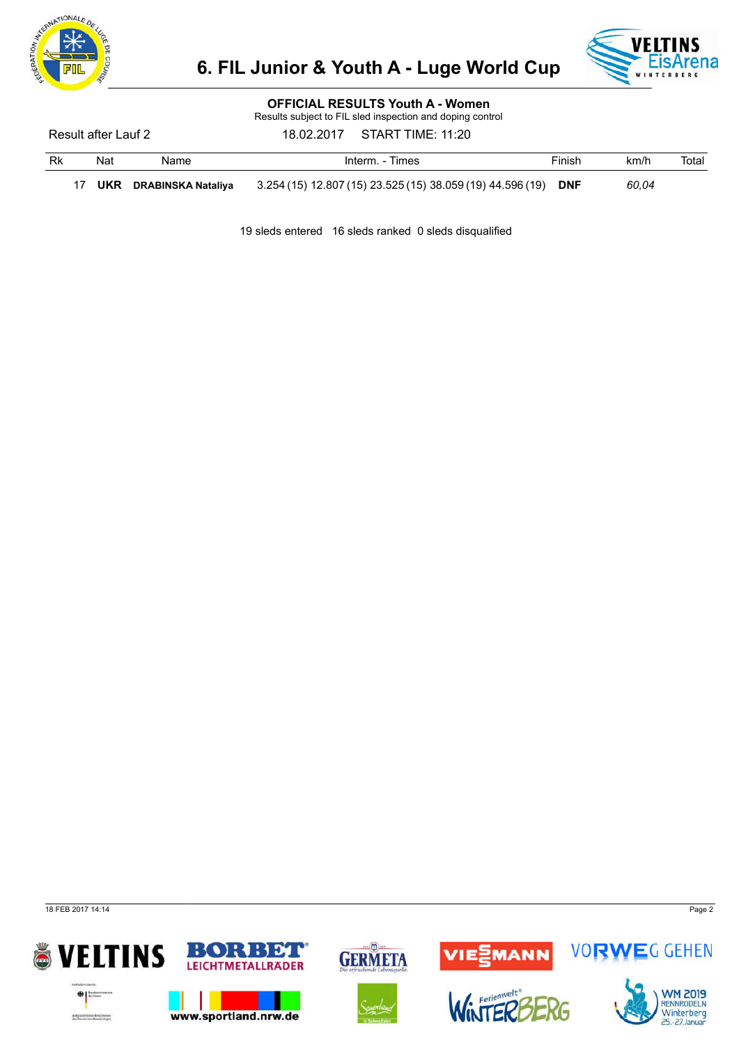



### OFFICIAL RESULTS Youth A - Women

Results subject to FIL sled inspection and doping control

Result after Lauf 2 18.02.2017 START TIME: 11:20

| Rk | Nat | Name                      | Interm. - Times                                            | Finish     | km/h  | Total |
|----|-----|---------------------------|------------------------------------------------------------|------------|-------|-------|
|    | UKR | <b>DRABINSKA Nataliva</b> | 3.254 (15) 12.807 (15) 23.525 (15) 38.059 (19) 44.596 (19) | <b>DNF</b> | 60.04 |       |

19 sleds entered 16 sleds ranked 0 sleds disqualified

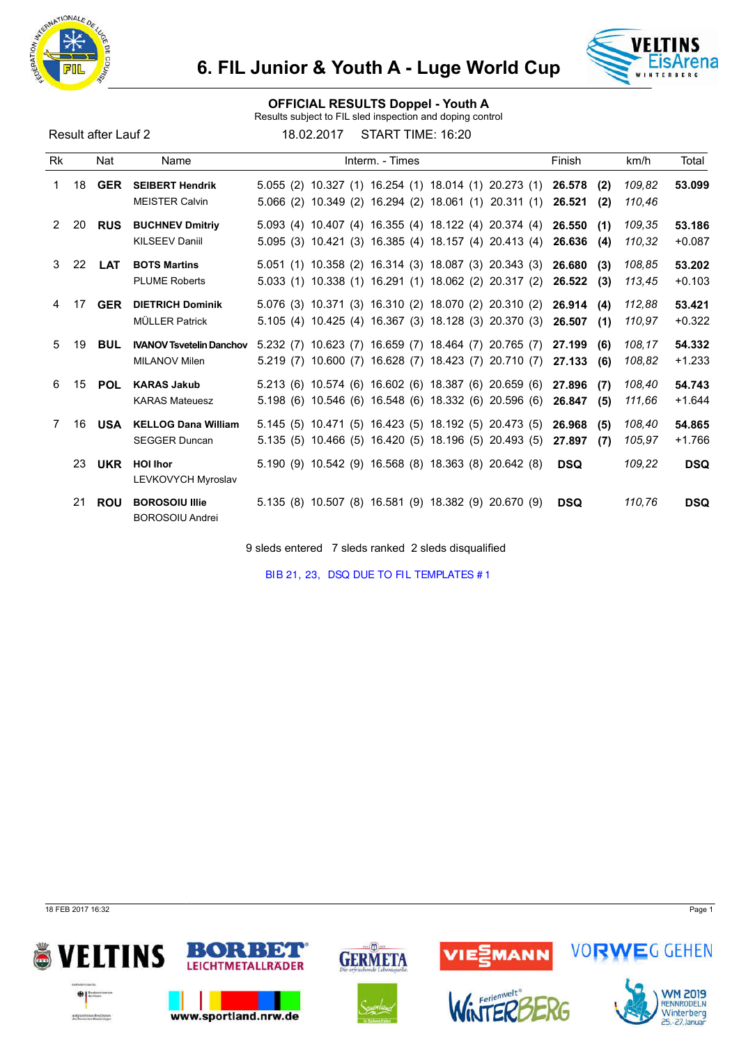



### OFFICIAL RESULTS Doppel - Youth A

Results subject to FIL sled inspection and doping control

Result after Lauf 2 18.02.2017 START TIME: 16:20

| <b>Rk</b> |    | Nat           | Name                                               | Interm. - Times                                                                                                | Finish                         | Total<br>km/h                          |
|-----------|----|---------------|----------------------------------------------------|----------------------------------------------------------------------------------------------------------------|--------------------------------|----------------------------------------|
| 1.        | 18 | <b>GER</b>    | <b>SEIBERT Hendrik</b><br><b>MEISTER Calvin</b>    | 5.055 (2) 10.327 (1) 16.254 (1) 18.014 (1) 20.273 (1)<br>5.066 (2) 10.349 (2) 16.294 (2) 18.061 (1) 20.311 (1) | 26.578<br>(2)<br>26.521<br>(2) | 109,82<br>53.099<br>110,46             |
| 2         | 20 | <b>RUS</b>    | <b>BUCHNEV Dmitriy</b><br><b>KILSEEV Daniil</b>    | 5.093 (4) 10.407 (4) 16.355 (4) 18.122 (4) 20.374 (4)<br>5.095 (3) 10.421 (3) 16.385 (4) 18.157 (4) 20.413 (4) | 26.550<br>(1)<br>26.636<br>(4) | 109,35<br>53.186<br>110,32<br>$+0.087$ |
| 3         |    | 22 <b>LAT</b> | <b>BOTS Martins</b><br><b>PLUME Roberts</b>        | 5.051 (1) 10.358 (2) 16.314 (3) 18.087 (3) 20.343 (3)<br>5.033 (1) 10.338 (1) 16.291 (1) 18.062 (2) 20.317 (2) | 26.680<br>(3)<br>26.522<br>(3) | 53.202<br>108,85<br>$+0.103$<br>113,45 |
| 4         | 17 | <b>GER</b>    | <b>DIETRICH Dominik</b><br><b>MÜLLER Patrick</b>   | 5.076 (3) 10.371 (3) 16.310 (2) 18.070 (2) 20.310 (2)<br>5.105 (4) 10.425 (4) 16.367 (3) 18.128 (3) 20.370 (3) | 26.914<br>(4)<br>26.507<br>(1) | 112,88<br>53.421<br>$+0.322$<br>110.97 |
| 5         | 19 | <b>BUL</b>    | <b>IVANOV Tsvetelin Danchov</b><br>MILANOV Milen   | 5.232 (7) 10.623 (7) 16.659 (7) 18.464 (7) 20.765 (7)<br>5.219 (7) 10.600 (7) 16.628 (7) 18.423 (7) 20.710 (7) | 27.199<br>(6)<br>27.133<br>(6) | 108,17<br>54.332<br>$+1.233$<br>108,82 |
| 6         | 15 | <b>POL</b>    | <b>KARAS Jakub</b><br><b>KARAS Mateuesz</b>        | 5.213 (6) 10.574 (6) 16.602 (6) 18.387 (6) 20.659 (6)<br>5.198 (6) 10.546 (6) 16.548 (6) 18.332 (6) 20.596 (6) | 27.896<br>(7)<br>26.847<br>(5) | 108,40<br>54.743<br>111,66<br>$+1.644$ |
| 7         | 16 | USA           | <b>KELLOG Dana William</b><br><b>SEGGER Duncan</b> | 5.145 (5) 10.471 (5) 16.423 (5) 18.192 (5) 20.473 (5)<br>5.135 (5) 10.466 (5) 16.420 (5) 18.196 (5) 20.493 (5) | 26.968<br>(5)<br>27.897<br>(7) | 108,40<br>54.865<br>$+1.766$<br>105,97 |
|           | 23 | <b>UKR</b>    | <b>HOI Ihor</b><br>LEVKOVYCH Myroslav              | 5.190 (9) 10.542 (9) 16.568 (8) 18.363 (8) 20.642 (8)                                                          | <b>DSQ</b>                     | 109,22<br><b>DSQ</b>                   |
|           | 21 | <b>ROU</b>    | <b>BOROSOIU Illie</b><br><b>BOROSOIU Andrei</b>    | 5.135 (8) 10.507 (8) 16.581 (9) 18.382 (9) 20.670 (9)                                                          | <b>DSQ</b>                     | 110,76<br><b>DSQ</b>                   |

9 sleds entered 7 sleds ranked 2 sleds disqualified

BIB 21, 23, DSQ DUE TO FIL TEMPLATES # 1

18 FEB 2017 16:32 Page 1







VIESMANN



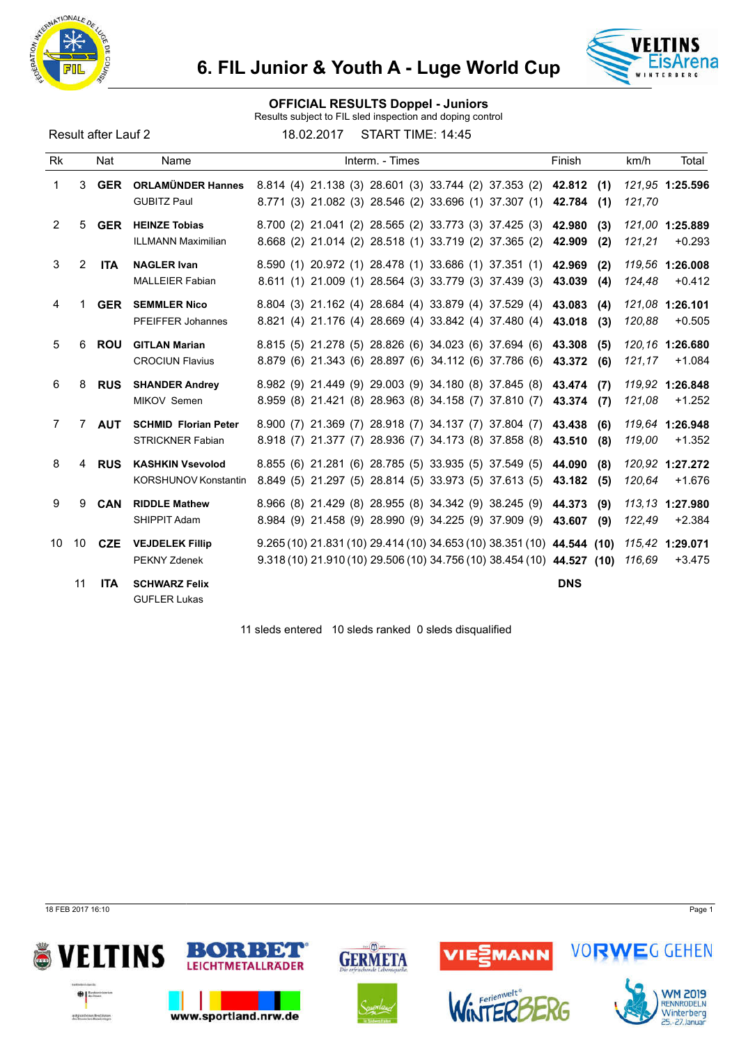



#### OFFICIAL RESULTS Doppel - Juniors

Results subject to FIL sled inspection and doping control

Result after Lauf 2 18.02.2017 START TIME: 14:45

| Rk             |                | Nat        | Name                                                   | Interm. - Times                                                                                                                                  | Finish                         | Total<br>km/h                         |
|----------------|----------------|------------|--------------------------------------------------------|--------------------------------------------------------------------------------------------------------------------------------------------------|--------------------------------|---------------------------------------|
| 1              |                | 3 GER      | <b>ORLAMÜNDER Hannes</b><br><b>GUBITZ Paul</b>         | 8.814 (4) 21.138 (3) 28.601 (3) 33.744 (2) 37.353 (2) 42.812 (1)<br>8.771 (3) 21.082 (3) 28.546 (2) 33.696 (1) 37.307 (1)                        | 42.784<br>(1)                  | 121.95 1:25.596<br>121,70             |
| $\overline{2}$ | 5              | <b>GER</b> | <b>HEINZE Tobias</b><br><b>ILLMANN Maximilian</b>      | 8.700 (2) 21.041 (2) 28.565 (2) 33.773 (3) 37.425 (3)<br>8.668 (2) 21.014 (2) 28.518 (1) 33.719 (2) 37.365 (2)                                   | 42.980<br>(3)<br>42.909<br>(2) | 121,00 1:25.889<br>$+0.293$<br>121,21 |
| 3              | $\overline{2}$ | <b>ITA</b> | <b>NAGLER Ivan</b><br><b>MALLEIER Fabian</b>           | 8.590 (1) 20.972 (1) 28.478 (1) 33.686 (1) 37.351 (1)<br>8.611 (1) 21.009 (1) 28.564 (3) 33.779 (3) 37.439 (3)                                   | 42.969<br>(2)<br>43.039<br>(4) | 119.56 1:26.008<br>$+0.412$<br>124,48 |
| 4              |                | <b>GER</b> | <b>SEMMLER Nico</b><br><b>PFEIFFER Johannes</b>        | 8.804 (3) 21.162 (4) 28.684 (4) 33.879 (4) 37.529 (4)<br>8.821 (4) 21.176 (4) 28.669 (4) 33.842 (4) 37.480 (4)                                   | 43.083<br>(4)<br>43.018<br>(3) | 121.08 1:26.101<br>120,88<br>$+0.505$ |
| 5              | 6              | <b>ROU</b> | <b>GITLAN Marian</b><br><b>CROCIUN Flavius</b>         | 8.815 (5) 21.278 (5) 28.826 (6) 34.023 (6) 37.694 (6)<br>8.879 (6) 21.343 (6) 28.897 (6) 34.112 (6) 37.786 (6)                                   | 43.308<br>(5)<br>43.372<br>(6) | 120,16 1:26.680<br>121,17<br>$+1.084$ |
| 6              | 8              | <b>RUS</b> | <b>SHANDER Andrey</b><br>MIKOV Semen                   | 8.982 (9) 21.449 (9) 29.003 (9) 34.180 (8) 37.845 (8)<br>8.959 (8) 21.421 (8) 28.963 (8) 34.158 (7) 37.810 (7)                                   | 43.474 (7)<br>43.374<br>(7)    | 119.92 1:26.848<br>$+1.252$<br>121,08 |
| $\overline{7}$ | 7              | <b>AUT</b> | <b>SCHMID Florian Peter</b><br><b>STRICKNER Fabian</b> | 8.900 (7) 21.369 (7) 28.918 (7) 34.137 (7) 37.804 (7)<br>8.918 (7) 21.377 (7) 28.936 (7) 34.173 (8) 37.858 (8)                                   | 43.438<br>(6)<br>43.510<br>(8) | 119,64 1:26.948<br>119,00<br>$+1.352$ |
| 8              | 4              | <b>RUS</b> | <b>KASHKIN Vsevolod</b><br><b>KORSHUNOV Konstantin</b> | 8.855 (6) 21.281 (6) 28.785 (5) 33.935 (5) 37.549 (5)<br>8.849 (5) 21.297 (5) 28.814 (5) 33.973 (5) 37.613 (5)                                   | 44.090<br>(8)<br>43.182<br>(5) | 120.92 1:27.272<br>120,64<br>$+1.676$ |
| 9              | 9              | <b>CAN</b> | <b>RIDDLE Mathew</b><br>SHIPPIT Adam                   | 8.966 (8) 21.429 (8) 28.955 (8) 34.342 (9) 38.245 (9)<br>8.984 (9) 21.458 (9) 28.990 (9) 34.225 (9) 37.909 (9) 43.607                            | 44.373<br>(9)<br>(9)           | 113.13 1:27.980<br>122,49<br>$+2.384$ |
| 10             | 10             | <b>CZE</b> | <b>VEJDELEK Fillip</b><br>PEKNY Zdenek                 | 9.265 (10) 21.831 (10) 29.414 (10) 34.653 (10) 38.351 (10) 44.544 (10)<br>9.318 (10) 21.910 (10) 29.506 (10) 34.756 (10) 38.454 (10) 44.527 (10) |                                | 115.42 1:29.071<br>116,69<br>$+3.475$ |
|                | 11             | <b>ITA</b> | <b>SCHWARZ Felix</b><br><b>GUFLER Lukas</b>            |                                                                                                                                                  | <b>DNS</b>                     |                                       |

11 sleds entered 10 sleds ranked 0 sleds disqualified

18 FEB 2017 16:10 Page 1







VIE<mark>SMANN</mark>



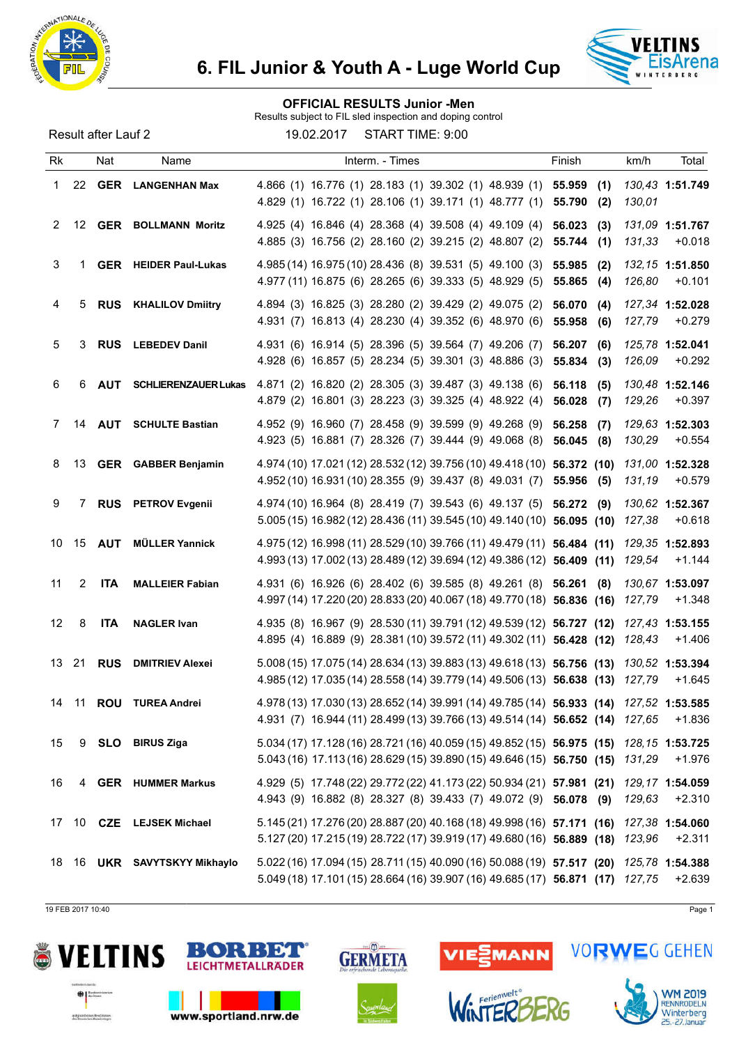

#### OFFICIAL RESULTS Junior -Men

Results subject to FIL sled inspection and doping control

Result after Lauf 2 19.02.2017 START TIME: 9:00

| Rk    |                | Nat           | Name                         | Interm. - Times                                                                                                                                                         | Finish                         | km/h<br>Total                          |
|-------|----------------|---------------|------------------------------|-------------------------------------------------------------------------------------------------------------------------------------------------------------------------|--------------------------------|----------------------------------------|
| 1     |                |               | 22 GER LANGENHAN Max         | 4.866 (1) 16.776 (1) 28.183 (1) 39.302 (1) 48.939 (1) 55.959<br>4.829 (1) 16.722 (1) 28.106 (1) 39.171 (1) 48.777 (1)                                                   | (1)<br>55.790<br>(2)           | 130,43 1:51.749<br>130,01              |
| 2     |                |               | 12 GER BOLLMANN Moritz       | 4.925 (4) 16.846 (4) 28.368 (4) 39.508 (4) 49.109 (4)<br>4.885 (3) 16.756 (2) 28.160 (2) 39.215 (2) 48.807 (2)                                                          | 56.023<br>(3)<br>55.744<br>(1) | 131,09 1:51.767<br>131,33<br>$+0.018$  |
| 3     | 1              |               | <b>GER</b> HEIDER Paul-Lukas | 4.985 (14) 16.975 (10) 28.436 (8) 39.531 (5) 49.100 (3)<br>4.977 (11) 16.875 (6) 28.265 (6) 39.333 (5) 48.929 (5)                                                       | 55.985<br>(2)<br>55.865<br>(4) | 132, 15 1:51.850<br>126,80<br>$+0.101$ |
| 4     | 5              |               | <b>RUS</b> KHALILOV Dmiitry  | 4.894 (3) 16.825 (3) 28.280 (2) 39.429 (2) 49.075 (2)<br>4.931 (7) 16.813 (4) 28.230 (4) 39.352 (6) 48.970 (6)                                                          | 56.070<br>(4)<br>55.958<br>(6) | 127,34 1:52.028<br>127,79<br>$+0.279$  |
| 5     | 3              |               | <b>RUS</b> LEBEDEV Danil     | 4.931 (6) 16.914 (5) 28.396 (5) 39.564 (7) 49.206 (7)<br>4.928 (6) 16.857 (5) 28.234 (5) 39.301 (3) 48.886 (3)                                                          | 56.207<br>(6)<br>55.834<br>(3) | 125,78 1:52.041<br>$+0.292$<br>126,09  |
| 6     | 6              | <b>AUT</b>    | <b>SCHLIERENZAUER Lukas</b>  | 4.871 (2) 16.820 (2) 28.305 (3) 39.487 (3) 49.138 (6)<br>4.879 (2) 16.801 (3) 28.223 (3) 39.325 (4) 48.922 (4)                                                          | 56.118<br>(5)<br>56.028<br>(7) | 130,48 1:52.146<br>129,26<br>$+0.397$  |
| 7     | 14             | <b>AUT</b>    | <b>SCHULTE Bastian</b>       | 4.952 (9) 16.960 (7) 28.458 (9) 39.599 (9) 49.268 (9)<br>4.923 (5) 16.881 (7) 28.326 (7) 39.444 (9) 49.068 (8)                                                          | 56.258<br>(7)<br>56.045<br>(8) | 129,63 1:52.303<br>130,29<br>$+0.554$  |
| 8     |                |               | 13 GER GABBER Benjamin       | 4.974 (10) 17.021 (12) 28.532 (12) 39.756 (10) 49.418 (10) 56.372 (10)<br>4.952 (10) 16.931 (10) 28.355 (9) 39.437 (8) 49.031 (7) 55.956 (5)                            |                                | 131,00 1:52.328<br>131,19<br>$+0.579$  |
| 9     | $\overline{7}$ |               | <b>RUS</b> PETROV Evgenii    | 4.974 (10) 16.964 (8) 28.419 (7) 39.543 (6) 49.137 (5) 56.272 (9)<br>5.005 (15) 16.982 (12) 28.436 (11) 39.545 (10) 49.140 (10) 56.095 (10)                             |                                | 130,62 1:52.367<br>127,38<br>$+0.618$  |
| 10    |                | 15 <b>AUT</b> | <b>MÜLLER Yannick</b>        | 4.975 (12) 16.998 (11) 28.529 (10) 39.766 (11) 49.479 (11) 56.484 (11)<br>4.993 (13) 17.002 (13) 28.489 (12) 39.694 (12) 49.386 (12) 56.409 (11)                        |                                | 129,35 1:52.893<br>$+1.144$<br>129,54  |
| 11    | $\overline{2}$ | <b>ITA</b>    | <b>MALLEIER Fabian</b>       | 4.931 (6) 16.926 (6) 28.402 (6) 39.585 (8) 49.261 (8) 56.261<br>4.997 (14) 17.220 (20) 28.833 (20) 40.067 (18) 49.770 (18) 56.836 (16)                                  | (8)                            | 130.67 1:53.097<br>$+1.348$<br>127,79  |
| 12    | 8              | <b>ITA</b>    | <b>NAGLER Ivan</b>           | 4.935 (8) 16.967 (9) 28.530 (11) 39.791 (12) 49.539 (12) 56.727 (12)<br>4.895 (4) 16.889 (9) 28.381 (10) 39.572 (11) 49.302 (11) 56.428 (12)                            |                                | 127,43 1:53.155<br>128,43<br>$+1.406$  |
| 13 21 |                | <b>RUS</b>    | <b>DMITRIEV Alexei</b>       | 5.008 (15) 17.075 (14) 28.634 (13) 39.883 (13) 49.618 (13) 56.756 (13)<br>4.985 (12) 17.035 (14) 28.558 (14) 39.779 (14) 49.506 (13) 56.638 (13)                        |                                | 130,52 1:53.394<br>$+1.645$<br>127,79  |
| 14    | 11             | <b>ROU</b>    | <b>TUREA Andrei</b>          | 4.978 (13) 17.030 (13) 28.652 (14) 39.991 (14) 49.785 (14) 56.933 (14) 127,52 1:53.585<br>4.931 (7) 16.944 (11) 28.499 (13) 39.766 (13) 49.514 (14) 56.652 (14) 127,65  |                                | +1.836                                 |
| 15    |                |               | 9 <b>SLO</b> BIRUS Ziga      | 5.034 (17) 17.128 (16) 28.721 (16) 40.059 (15) 49.852 (15) 56.975 (15) 128,15 1:53.725<br>5.043 (16) 17.113 (16) 28.629 (15) 39.890 (15) 49.646 (15) 56.750 (15) 131,29 |                                | $+1.976$                               |
| 16    |                |               | 4 GER HUMMER Markus          | 4.929 (5) 17.748 (22) 29.772 (22) 41.173 (22) 50.934 (21) 57.981 (21)<br>4.943 (9) 16.882 (8) 28.327 (8) 39.433 (7) 49.072 (9) 56.078 (9)                               |                                | 129,17 1:54.059<br>129,63<br>$+2.310$  |
| 17    |                |               | 10 CZE LEJSEK Michael        | 5.145 (21) 17.276 (20) 28.887 (20) 40.168 (18) 49.998 (16) 57.171 (16)<br>5.127 (20) 17.215 (19) 28.722 (17) 39.919 (17) 49.680 (16) 56.889 (18) 123,96                 |                                | 127,38 1:54.060<br>$+2.311$            |
|       |                |               | 18 16 UKR SAVYTSKYY Mikhaylo | 5.022 (16) 17.094 (15) 28.711 (15) 40.090 (16) 50.088 (19) 57.517 (20) 125,78 1:54.388<br>5.049 (18) 17.101 (15) 28.664 (16) 39.907 (16) 49.685 (17) 56.871 (17) 127,75 |                                | $+2.639$                               |

19 FEB 2017 10:40 Page 1





www.sportland.nrw.de





VIESMANN





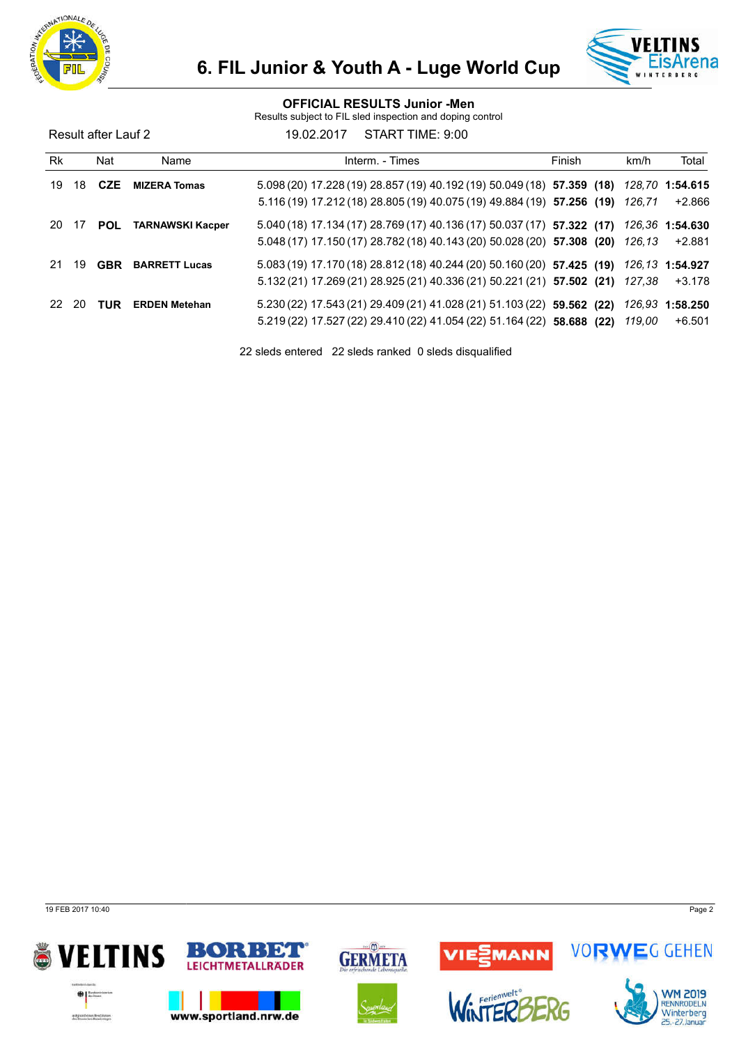



#### OFFICIAL RESULTS Junior -Men

Results subject to FIL sled inspection and doping control

Result after Lauf 2 19.02.2017 START TIME: 9:00

| Rk    |      | Nat        | Name                    | Interm. - Times                                                                        | Finish | km/h   | Total                  |
|-------|------|------------|-------------------------|----------------------------------------------------------------------------------------|--------|--------|------------------------|
| 19    | 18   | <b>CZE</b> | <b>MIZERA Tomas</b>     | 5.098 (20) 17.228 (19) 28.857 (19) 40.192 (19) 50.049 (18) 57.359 (18) 128,70 1:54.615 |        |        |                        |
|       |      |            |                         | $5.116(19)$ 17.212(18) 28.805(19) 40.075(19) 49.884(19) 57.256 (19)                    |        | 126,71 | +2.866                 |
| 20    | - 17 | POL        | <b>TARNAWSKI Kacper</b> | 5.040 (18) 17.134 (17) 28.769 (17) 40.136 (17) 50.037 (17) 57.322 (17)                 |        |        | <i>126.36</i> 1:54.630 |
|       |      |            |                         | 5.048 (17) 17.150 (17) 28.782 (18) 40.143 (20) 50.028 (20) 57.308 (20)                 |        | 126,13 | +2.881                 |
| 21    | 19   | <b>GBR</b> | <b>BARRETT Lucas</b>    | 5.083 (19) 17.170 (18) 28.812 (18) 40.244 (20) 50.160 (20) 57.425 (19)                 |        |        | 126.13 <b>1:54.927</b> |
|       |      |            |                         | 5.132 (21) 17.269 (21) 28.925 (21) 40.336 (21) 50.221 (21) 57.502 (21) 127,38          |        |        | $+3.178$               |
| 22 20 |      | <b>TUR</b> | <b>ERDEN Metehan</b>    | $5.230(22)$ 17.543(21) 29.409(21) 41.028(21) 51.103(22) 59.562 (22)                    |        |        | 126,93 1:58.250        |
|       |      |            |                         | 5.219 (22) 17.527 (22) 29.410 (22) 41.054 (22) 51.164 (22) 58.688 (22)                 |        | 119.00 | +6.501                 |

22 sleds entered 22 sleds ranked 0 sleds disqualified

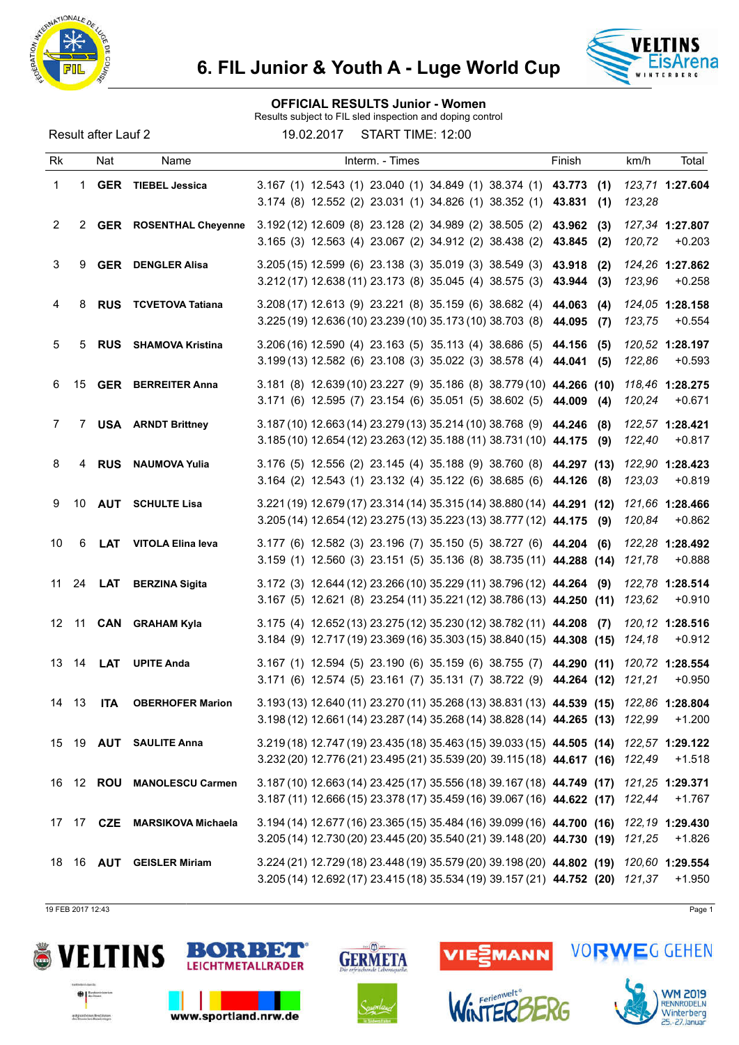

### OFFICIAL RESULTS Junior - Women

Results subject to FIL sled inspection and doping control

Result after Lauf 2 19.02.2017 START TIME: 12:00

| Rk    |    | Nat              | Name                        | Interm. - Times                                                                                                                                                         | Finish                         | km/h                      | Total    |
|-------|----|------------------|-----------------------------|-------------------------------------------------------------------------------------------------------------------------------------------------------------------------|--------------------------------|---------------------------|----------|
| 1     | 1  |                  | <b>GER</b> TIEBEL Jessica   | 3.167 (1) 12.543 (1) 23.040 (1) 34.849 (1) 38.374 (1) 43.773 (1)<br>3.174 (8) 12.552 (2) 23.031 (1) 34.826 (1) 38.352 (1)                                               | 43.831<br>(1)                  | 123,71 1:27.604<br>123,28 |          |
| 2     |    |                  | 2 GER ROSENTHAL Cheyenne    | 3.192 (12) 12.609 (8) 23.128 (2) 34.989 (2) 38.505 (2)<br>3.165 (3) 12.563 (4) 23.067 (2) 34.912 (2) 38.438 (2)                                                         | 43.962<br>(3)<br>43.845<br>(2) | 127,34 1:27.807<br>120,72 | $+0.203$ |
| 3     | 9  |                  | <b>GER</b> DENGLER Alisa    | 3.205 (15) 12.599 (6) 23.138 (3) 35.019 (3) 38.549 (3)<br>3.212 (17) 12.638 (11) 23.173 (8) 35.045 (4) 38.575 (3)                                                       | 43.918<br>(2)<br>43.944<br>(3) | 124,26 1:27.862<br>123,96 | $+0.258$ |
| 4     | 8  |                  | <b>RUS</b> TCVETOVA Tatiana | 3.208 (17) 12.613 (9) 23.221 (8) 35.159 (6) 38.682 (4)<br>3.225 (19) 12.636 (10) 23.239 (10) 35.173 (10) 38.703 (8)                                                     | 44.063<br>(4)<br>44.095<br>(7) | 124,05 1:28.158<br>123,75 | $+0.554$ |
| 5     | 5  | <b>RUS</b>       | <b>SHAMOVA Kristina</b>     | $3.206(16)$ 12.590 (4) 23.163 (5) 35.113 (4) 38.686 (5)<br>3.199 (13) 12.582 (6) 23.108 (3) 35.022 (3) 38.578 (4) 44.041                                                | 44.156<br>(5)<br>(5)           | 120,52 1:28.197<br>122,86 | $+0.593$ |
| 6     | 15 |                  | <b>GER BERREITER Anna</b>   | 3.181 (8) 12.639 (10) 23.227 (9) 35.186 (8) 38.779 (10) 44.266 (10)<br>3.171 (6) 12.595 (7) 23.154 (6) 35.051 (5) 38.602 (5) 44.009                                     | (4)                            | 118,46 1:28.275<br>120,24 | $+0.671$ |
| 7     | 7  |                  | <b>USA</b> ARNDT Brittney   | 3.187 (10) 12.663 (14) 23.279 (13) 35.214 (10) 38.768 (9) 44.246<br>3.185 (10) 12.654 (12) 23.263 (12) 35.188 (11) 38.731 (10) 44.175 (9)                               | (8)                            | 122,57 1:28.421<br>122,40 | $+0.817$ |
| 8     |    |                  | 4 RUS NAUMOVA Yulia         | 3.176 (5) 12.556 (2) 23.145 (4) 35.188 (9) 38.760 (8) 44.297 (13)<br>3.164 (2) 12.543 (1) 23.132 (4) 35.122 (6) 38.685 (6) 44.126 (8)                                   |                                | 122,90 1:28.423<br>123,03 | $+0.819$ |
| 9     |    | 10 <b>AUT</b>    | <b>SCHULTE Lisa</b>         | 3.221 (19) 12.679 (17) 23.314 (14) 35.315 (14) 38.880 (14) 44.291 (12)<br>3.205 (14) 12.654 (12) 23.275 (13) 35.223 (13) 38.777 (12) 44.175 (9)                         |                                | 121,66 1:28.466<br>120,84 | $+0.862$ |
| 10    | 6  | <b>LAT</b>       | VITOLA Elina leva           | 3.177 (6) 12.582 (3) 23.196 (7) 35.150 (5) 38.727 (6) 44.204 (6)<br>3.159 (1) 12.560 (3) 23.151 (5) 35.136 (8) 38.735 (11) 44.288 (14)                                  |                                | 122,28 1:28.492<br>121,78 | $+0.888$ |
| 11    | 24 | <b>LAT</b>       | <b>BERZINA Sigita</b>       | 3.172 (3) 12.644 (12) 23.266 (10) 35.229 (11) 38.796 (12) 44.264 (9)<br>3.167 (5) 12.621 (8) 23.254 (11) 35.221 (12) 38.786 (13) 44.250 (11)                            |                                | 122,78 1:28.514<br>123,62 | $+0.910$ |
|       |    |                  | 12 11 CAN GRAHAM Kyla       | 3.175 (4) 12.652 (13) 23.275 (12) 35.230 (12) 38.782 (11) 44.208 (7)<br>3.184 (9) 12.717 (19) 23.369 (16) 35.303 (15) 38.840 (15) 44.308 (15)                           |                                | 120,12 1:28.516<br>124,18 | $+0.912$ |
| 13    | 14 | <b>LAT</b>       | <b>UPITE Anda</b>           | 3.167 (1) 12.594 (5) 23.190 (6) 35.159 (6) 38.755 (7) 44.290 (11)<br>3.171 (6) 12.574 (5) 23.161 (7) 35.131 (7) 38.722 (9) 44.264 (12)                                  |                                | 120,72 1:28.554<br>121,21 | $+0.950$ |
| 14 13 |    | <b>ITA</b>       | <b>OBERHOFER Marion</b>     | 3.193 (13) 12.640 (11) 23.270 (11) 35.268 (13) 38.831 (13) 44.539 (15) 122,86 1:28.804<br>3.198 (12) 12.661 (14) 23.287 (14) 35.268 (14) 38.828 (14) 44.265 (13) 122,99 |                                |                           | $+1.200$ |
|       |    |                  | 15 19 AUT SAULITE Anna      | 3.219 (18) 12.747 (19) 23.435 (18) 35.463 (15) 39.033 (15) 44.505 (14) 122,57 1:29.122<br>3.232 (20) 12.776 (21) 23.495 (21) 35.539 (20) 39.115 (18) 44.617 (16) 122,49 |                                |                           | $+1.518$ |
|       |    |                  | 16 12 ROU MANOLESCU Carmen  | 3.187 (10) 12.663 (14) 23.425 (17) 35.556 (18) 39.167 (18) 44.749 (17) 121,25 1:29.371<br>3.187 (11) 12.666 (15) 23.378 (17) 35.459 (16) 39.067 (16) 44.622 (17) 122,44 |                                |                           | $+1.767$ |
|       |    | 17 17 <b>CZE</b> | <b>MARSIKOVA Michaela</b>   | 3.194 (14) 12.677 (16) 23.365 (15) 35.484 (16) 39.099 (16) 44.700 (16)<br>3.205 (14) 12.730 (20) 23.445 (20) 35.540 (21) 39.148 (20) 44.730 (19) 121.25                 |                                | 122,19 1:29.430           | $+1.826$ |
|       |    |                  | 18 16 AUT GEISLER Miriam    | 3.224 (21) 12.729 (18) 23.448 (19) 35.579 (20) 39.198 (20) 44.802 (19) 120,60 1:29.554<br>3.205 (14) 12.692 (17) 23.415 (18) 35.534 (19) 39.157 (21) 44.752 (20) 121,37 |                                |                           | $+1.950$ |

19 FEB 2017 12:43 Page 1





www.sportland.nrw.de





*inTER* 





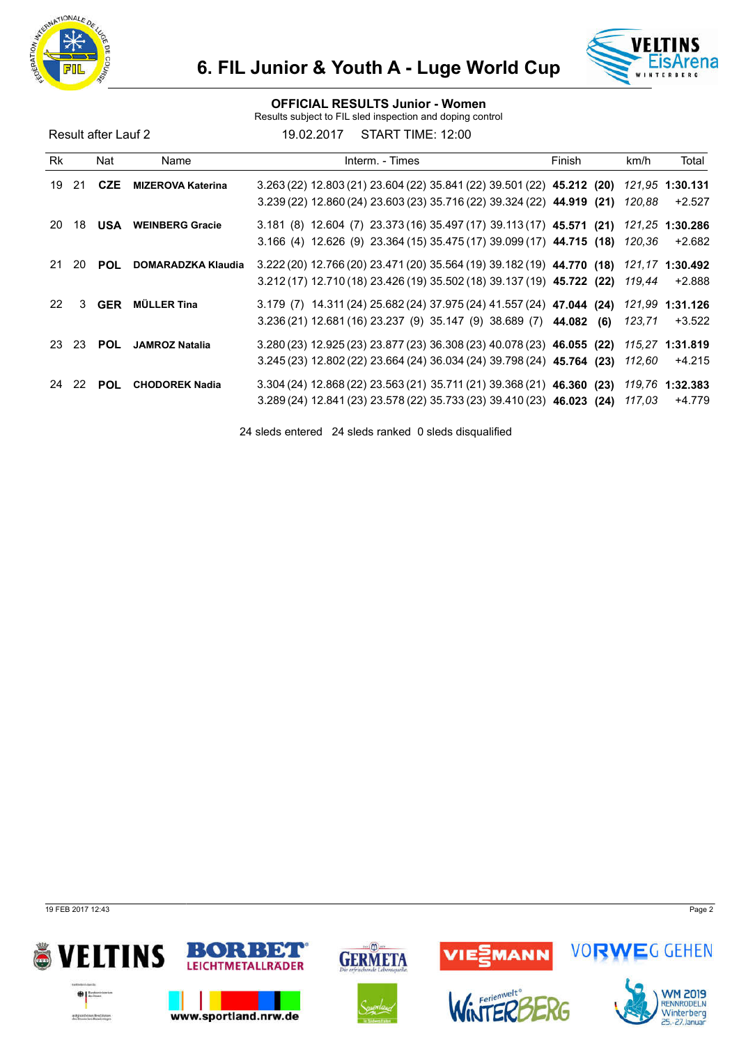



### OFFICIAL RESULTS Junior - Women

Results subject to FIL sled inspection and doping control

Result after Lauf 2 19.02.2017 START TIME: 12:00

| Rk |     | Nat        | Name                      | Interm. - Times                                                                                                                                                          | Finish | km/h   | Total                            |
|----|-----|------------|---------------------------|--------------------------------------------------------------------------------------------------------------------------------------------------------------------------|--------|--------|----------------------------------|
| 19 | -21 | <b>CZE</b> | <b>MIZEROVA Katerina</b>  | 3.263 (22) 12.803 (21) 23.604 (22) 35.841 (22) 39.501 (22) 45.212 (20) 121,95 1:30.131<br>3.239 (22) 12.860 (24) 23.603 (23) 35.716 (22) 39.324 (22) 44.919 (21)         |        | 120.88 | $+2.527$                         |
| 20 | 18  | <b>USA</b> | <b>WEINBERG Gracie</b>    | 3.181 (8) 12.604 (7) 23.373 (16) 35.497 (17) 39.113 (17) 45.571 (21) 121,25 1:30.286<br>$3.166$ (4) $12.626$ (9) $23.364$ (15) $35.475$ (17) $39.099$ (17) $44.715$ (18) |        | 120.36 | +2.682                           |
| 21 | 20  | <b>POL</b> | <b>DOMARADZKA Klaudia</b> | 3.222 (20) 12.766 (20) 23.471 (20) 35.564 (19) 39.182 (19) 44.770 (18)<br>3.212 (17) 12.710 (18) 23.426 (19) 35.502 (18) 39.137 (19) 45.722 (22)                         |        | 119,44 | <i>121.17</i> 1:30.492<br>+2.888 |
| 22 | 3   | <b>GER</b> | <b>MÜLLER Tina</b>        | 3.179 (7) 14.311 (24) 25.682 (24) 37.975 (24) 41.557 (24) 47.044 (24) 121,99 1:31.126<br>3.236 (21) 12.681 (16) 23.237 (9) 35.147 (9) 38.689 (7) 44.082 (6)              |        | 123,71 | +3.522                           |
| 23 | -23 | <b>POL</b> | <b>JAMROZ Natalia</b>     | $3.280(23)$ 12.925 (23) 23.877 (23) 36.308 (23) 40.078 (23) 46.055 (22)<br>$3.245(23)$ 12.802 (22) 23.664 (24) 36.034 (24) 39.798 (24) 45.764 (23)                       |        | 112.60 | 115.27 1:31.819<br>+4.215        |
| 24 | 22  | <b>POL</b> | <b>CHODOREK Nadia</b>     | 3.304 (24) 12.868 (22) 23.563 (21) 35.711 (21) 39.368 (21) 46.360 (23)<br>3.289 (24) 12.841 (23) 23.578 (22) 35.733 (23) 39.410 (23) 46.023 (24)                         |        | 117,03 | 119,76 1:32.383<br>+4.779        |

24 sleds entered 24 sleds ranked 0 sleds disqualified

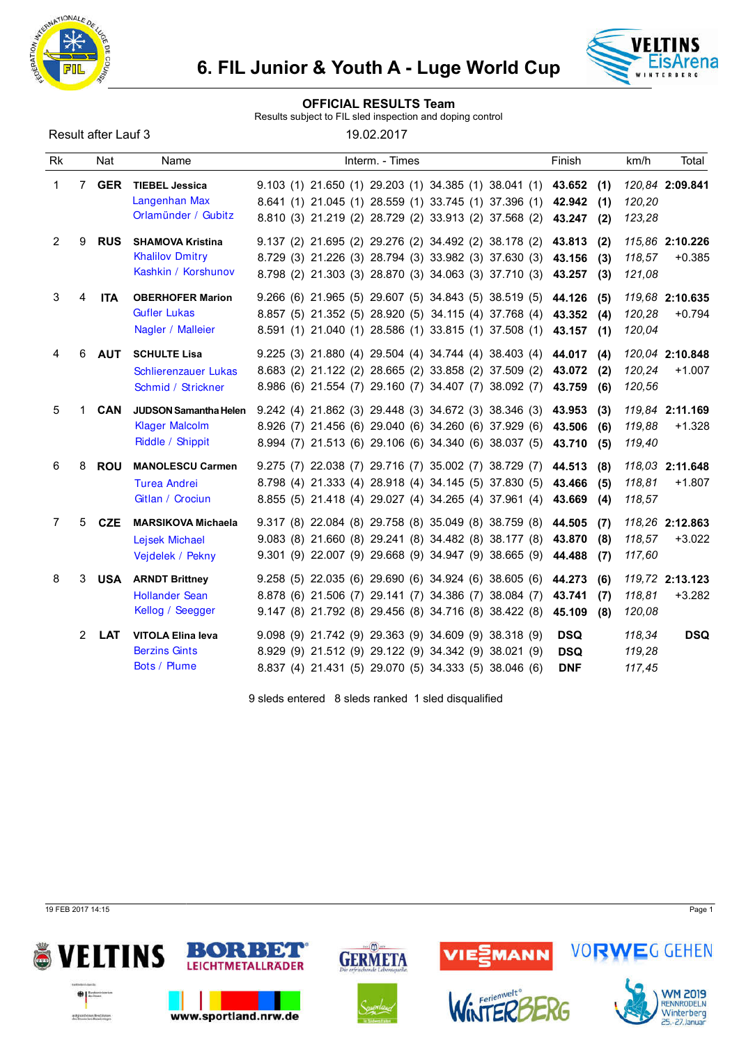



#### OFFICIAL RESULTS Team

Results subject to FIL sled inspection and doping control

| Result after Lauf 3 |  |  |  |  |
|---------------------|--|--|--|--|
|---------------------|--|--|--|--|

19.02.2017

| <b>Rk</b>   |                | Nat        | Name                                                                      | Interm. - Times                                                                                                                                                                                  | Finish                                          | Total<br>km/h                                   |
|-------------|----------------|------------|---------------------------------------------------------------------------|--------------------------------------------------------------------------------------------------------------------------------------------------------------------------------------------------|-------------------------------------------------|-------------------------------------------------|
| $\mathbf 1$ |                | 7 GER      | <b>TIEBEL Jessica</b><br>Langenhan Max<br>Orlamünder / Gubitz             | 9.103 (1) 21.650 (1) 29.203 (1) 34.385 (1) 38.041 (1) 43.652 (1)<br>8.641 (1) 21.045 (1) 28.559 (1) 33.745 (1) 37.396 (1) 42.942<br>8.810 (3) 21.219 (2) 28.729 (2) 33.913 (2) 37.568 (2)        | (1)<br>43.247<br>(2)                            | 120,84 2:09.841<br>120,20<br>123,28             |
| 2           | 9              | <b>RUS</b> | <b>SHAMOVA Kristina</b><br><b>Khalilov Dmitry</b><br>Kashkin / Korshunov  | 9.137 (2) 21.695 (2) 29.276 (2) 34.492 (2) 38.178 (2) 43.813 (2)<br>8.729 (3) 21.226 (3) 28.794 (3) 33.982 (3) 37.630 (3)<br>8.798 (2) 21.303 (3) 28.870 (3) 34.063 (3) 37.710 (3) 43.257        | 43.156<br>(3)<br>(3)                            | 115,86 2:10.226<br>118,57<br>$+0.385$<br>121,08 |
| 3           | 4              | <b>ITA</b> | <b>OBERHOFER Marion</b><br><b>Gufler Lukas</b><br>Nagler / Malleier       | 9.266 (6) 21.965 (5) 29.607 (5) 34.843 (5) 38.519 (5) 44.126 (5)<br>8.857 (5) 21.352 (5) 28.920 (5) 34.115 (4) 37.768 (4) 43.352<br>8.591 (1) 21.040 (1) 28.586 (1) 33.815 (1) 37.508 (1) 43.157 | (4)<br>(1)                                      | 119,68 2:10.635<br>120,28<br>$+0.794$<br>120,04 |
| 4           | 6              | <b>AUT</b> | <b>SCHULTE Lisa</b><br>Schlierenzauer Lukas<br>Schmid / Strickner         | $9.225$ (3) 21.880 (4) 29.504 (4) 34.744 (4) 38.403 (4) 44.017 (4)<br>8.683 (2) 21.122 (2) 28.665 (2) 33.858 (2) 37.509 (2)<br>8.986 (6) 21.554 (7) 29.160 (7) 34.407 (7) 38.092 (7)             | 43.072<br>(2)<br>43.759<br>(6)                  | 120,04 2:10.848<br>120,24<br>$+1.007$<br>120,56 |
| 5           |                | <b>CAN</b> | <b>JUDSON Samantha Helen</b><br><b>Klager Malcolm</b><br>Riddle / Shippit | 9.242 (4) 21.862 (3) 29.448 (3) 34.672 (3) 38.346 (3) 43.953<br>8.926 (7) 21.456 (6) 29.040 (6) 34.260 (6) 37.929 (6)<br>8.994 (7) 21.513 (6) 29.106 (6) 34.340 (6) 38.037 (5)                   | (3)<br>43.506<br>(6)<br>43.710<br>(5)           | 119,84 2:11.169<br>119,88<br>$+1.328$<br>119,40 |
| 6           | 8              | <b>ROU</b> | <b>MANOLESCU Carmen</b><br><b>Turea Andrei</b><br>Gitlan / Crociun        | 9.275 (7) 22.038 (7) 29.716 (7) 35.002 (7) 38.729 (7) 44.513<br>8.798 (4) 21.333 (4) 28.918 (4) 34.145 (5) 37.830 (5)<br>8.855 (5) 21.418 (4) 29.027 (4) 34.265 (4) 37.961 (4)                   | (8)<br>43.466<br>(5)<br>43.669<br>(4)           | 118,03 2:11.648<br>118,81<br>$+1.807$<br>118,57 |
| 7           | 5              | <b>CZE</b> | <b>MARSIKOVA Michaela</b><br>Lejsek Michael<br>Vejdelek / Pekny           | 9.317 (8) 22.084 (8) 29.758 (8) 35.049 (8) 38.759 (8) 44.505<br>9.083 (8) 21.660 (8) 29.241 (8) 34.482 (8) 38.177 (8)<br>9.301 (9) 22.007 (9) 29.668 (9) 34.947 (9) 38.665 (9)                   | (7)<br>43.870<br>(8)<br>44.488<br>(7)           | 118,26 2:12.863<br>118,57<br>$+3.022$<br>117,60 |
| 8           | 3              | USA        | <b>ARNDT Brittney</b><br><b>Hollander Sean</b><br>Kellog / Seegger        | $9.258(5)$ 22.035 (6) 29.690 (6) 34.924 (6) 38.605 (6)<br>8.878 (6) 21.506 (7) 29.141 (7) 34.386 (7) 38.084 (7)<br>9.147 (8) 21.792 (8) 29.456 (8) 34.716 (8) 38.422 (8)                         | 44.273<br>(6)<br>43.741<br>(7)<br>45.109<br>(8) | 119,72 2:13.123<br>118,81<br>$+3.282$<br>120,08 |
|             | $\overline{2}$ | <b>LAT</b> | <b>VITOLA Elina leva</b><br><b>Berzins Gints</b><br>Bots / Plume          | 9.098 (9) 21.742 (9) 29.363 (9) 34.609 (9) 38.318 (9)<br>8.929 (9) 21.512 (9) 29.122 (9) 34.342 (9) 38.021 (9)<br>8.837 (4) 21.431 (5) 29.070 (5) 34.333 (5) 38.046 (6)                          | <b>DSQ</b><br><b>DSQ</b><br><b>DNF</b>          | 118,34<br><b>DSQ</b><br>119,28<br>117,45        |

9 sleds entered 8 sleds ranked 1 sled disqualified

19 FEB 2017 14:15 Page 1









VIE<mark>SMANN</mark>



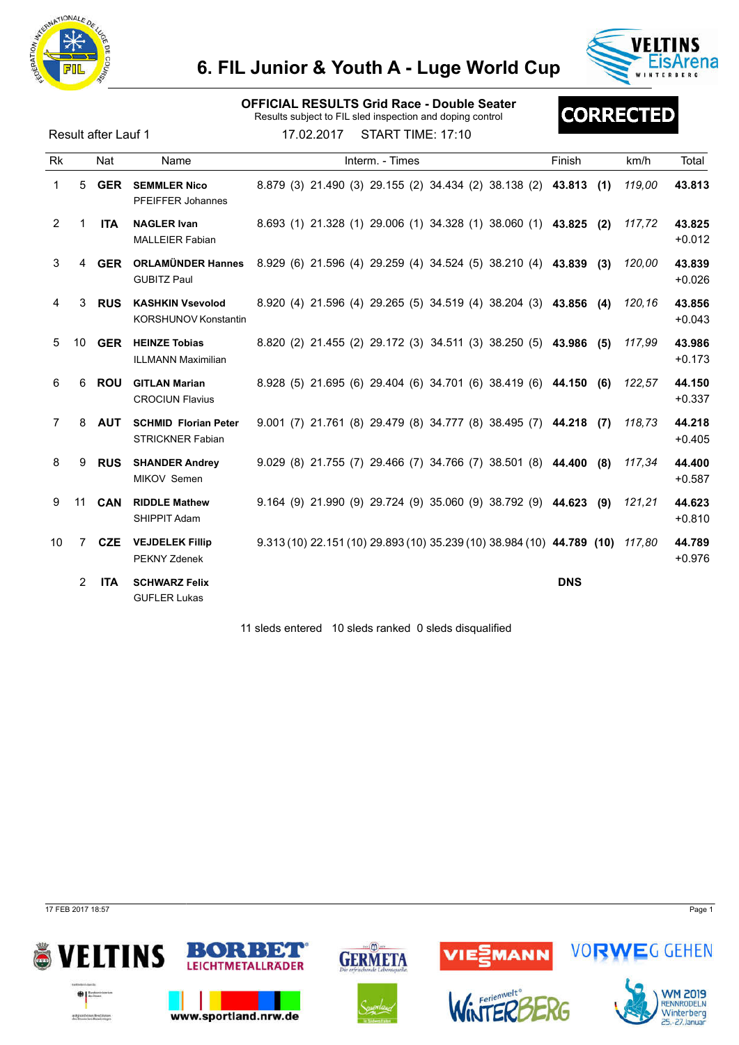



#### OFFICIAL RESULTS Grid Race - Double Seater

Results subject to FIL sled inspection and doping control

Result after Lauf 1 17.02.2017 START TIME: 17:10

# **CORRECTED**

| Rk              |                | Nat           | Name                                                   | Interm. - Times                                                        | Finish     | Total<br>km/h                |
|-----------------|----------------|---------------|--------------------------------------------------------|------------------------------------------------------------------------|------------|------------------------------|
| 1               | 5              | <b>GER</b>    | <b>SEMMLER Nico</b><br><b>PFEIFFER Johannes</b>        | 8.879 (3) 21.490 (3) 29.155 (2) 34.434 (2) 38.138 (2) 43.813           | (1)        | 43.813<br>119.00             |
| 2               |                | <b>ITA</b>    | <b>NAGLER Ivan</b><br><b>MALLEIER Fabian</b>           | 8.693 (1) 21.328 (1) 29.006 (1) 34.328 (1) 38.060 (1) 43.825           | (2)        | 117,72<br>43.825<br>$+0.012$ |
| 3               | 4              | <b>GER</b>    | <b>ORLAMÜNDER Hannes</b><br><b>GUBITZ Paul</b>         | 8.929 (6) 21.596 (4) 29.259 (4) 34.524 (5) 38.210 (4) 43.839           | (3)        | 120.00<br>43.839<br>$+0.026$ |
| 4               | 3              | <b>RUS</b>    | <b>KASHKIN Vsevolod</b><br><b>KORSHUNOV Konstantin</b> | 8.920 (4) 21.596 (4) 29.265 (5) 34.519 (4) 38.204 (3) 43.856 (4)       |            | 43.856<br>120.16<br>$+0.043$ |
| 5               |                | 10 <b>GER</b> | <b>HEINZE Tobias</b><br><b>ILLMANN Maximilian</b>      | 8.820 (2) 21.455 (2) 29.172 (3) 34.511 (3) 38.250 (5) 43.986 (5)       |            | 117,99<br>43.986<br>$+0.173$ |
| 6               | 6              | <b>ROU</b>    | <b>GITLAN Marian</b><br><b>CROCIUN Flavius</b>         | 8.928 (5) 21.695 (6) 29.404 (6) 34.701 (6) 38.419 (6) 44.150 (6)       |            | 44.150<br>122,57<br>$+0.337$ |
| 7               | 8              | <b>AUT</b>    | <b>SCHMID Florian Peter</b><br><b>STRICKNER Fabian</b> | 9.001 (7) 21.761 (8) 29.479 (8) 34.777 (8) 38.495 (7) 44.218           | (7)        | 44.218<br>118.73<br>$+0.405$ |
| 8               | 9              | <b>RUS</b>    | <b>SHANDER Andrey</b><br>MIKOV Semen                   | 9.029 (8) 21.755 (7) 29.466 (7) 34.766 (7) 38.501 (8) 44.400           | (8)        | 117,34<br>44.400<br>$+0.587$ |
| 9               | 11             | <b>CAN</b>    | <b>RIDDLE Mathew</b><br>SHIPPIT Adam                   | $9.164$ (9) 21.990 (9) 29.724 (9) 35.060 (9) 38.792 (9) 44.623 (9)     |            | 121,21<br>44.623<br>$+0.810$ |
| 10 <sup>1</sup> | $\overline{7}$ | <b>CZE</b>    | <b>VEJDELEK Fillip</b><br>PEKNY Zdenek                 | 9.313 (10) 22.151 (10) 29.893 (10) 35.239 (10) 38.984 (10) 44.789 (10) |            | 44.789<br>117,80<br>$+0.976$ |
|                 | $\overline{2}$ | <b>ITA</b>    | <b>SCHWARZ Felix</b><br><b>GUFLER Lukas</b>            |                                                                        | <b>DNS</b> |                              |

11 sleds entered 10 sleds ranked 0 sleds disqualified

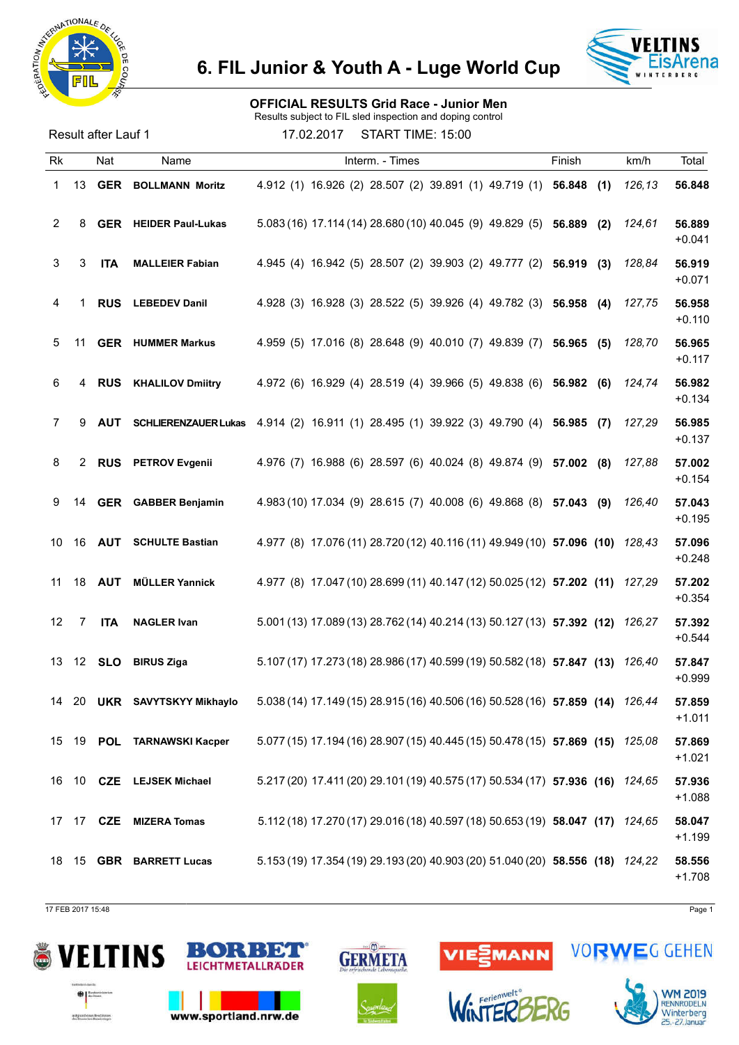



### OFFICIAL RESULTS Grid Race - Junior Men

Results subject to FIL sled inspection and doping control

Result after Lauf 1 17.02.2017 START TIME: 15:00

| <b>Rk</b> |       | Nat           | Name                         | Interm. - Times                                                               | Finish | km/h   | Total              |
|-----------|-------|---------------|------------------------------|-------------------------------------------------------------------------------|--------|--------|--------------------|
| 1         | 13    | <b>GER</b>    | <b>BOLLMANN Moritz</b>       | 4.912 (1) 16.926 (2) 28.507 (2) 39.891 (1) 49.719 (1) 56.848                  | (1)    | 126,13 | 56.848             |
| 2         | 8     |               | <b>GER</b> HEIDER Paul-Lukas | 5.083 (16) 17.114 (14) 28.680 (10) 40.045 (9) 49.829 (5) 56.889 (2)           |        | 124,61 | 56.889<br>$+0.041$ |
| 3         | 3     | <b>ITA</b>    | <b>MALLEIER Fabian</b>       | 4.945 (4) 16.942 (5) 28.507 (2) 39.903 (2) 49.777 (2) 56.919 (3)              |        | 128,84 | 56.919<br>$+0.071$ |
| 4         |       | <b>RUS</b>    | <b>LEBEDEV Danil</b>         | 4.928 (3) 16.928 (3) 28.522 (5) 39.926 (4) 49.782 (3) 56.958 (4)              |        | 127,75 | 56.958<br>$+0.110$ |
| 5         | 11    |               | <b>GER</b> HUMMER Markus     | 4.959 (5) 17.016 (8) 28.648 (9) 40.010 (7) 49.839 (7) 56.965 (5)              |        | 128,70 | 56.965<br>$+0.117$ |
| 6         | 4     | <b>RUS</b>    | <b>KHALILOV Dmiitry</b>      | 4.972 (6) 16.929 (4) 28.519 (4) 39.966 (5) 49.838 (6) 56.982                  | (6)    | 124,74 | 56.982<br>$+0.134$ |
| 7         | 9     | <b>AUT</b>    | <b>SCHLIERENZAUER Lukas</b>  | 4.914 (2) 16.911 (1) 28.495 (1) 39.922 (3) 49.790 (4) 56.985 (7)              |        | 127,29 | 56.985<br>$+0.137$ |
| 8         | 2     | <b>RUS</b>    | <b>PETROV Evgenii</b>        | 4.976 (7) 16.988 (6) 28.597 (6) 40.024 (8) 49.874 (9) 57.002 (8)              |        | 127,88 | 57.002<br>$+0.154$ |
| 9         | 14    |               | <b>GER</b> GABBER Benjamin   | 4.983 (10) 17.034 (9) 28.615 (7) 40.008 (6) 49.868 (8) 57.043 (9)             |        | 126,40 | 57.043<br>$+0.195$ |
| 10        | 16    | <b>AUT</b>    | <b>SCHULTE Bastian</b>       | 4.977 (8) 17.076 (11) 28.720 (12) 40.116 (11) 49.949 (10) 57.096 (10)         |        | 128.43 | 57.096<br>$+0.248$ |
| 11        |       | 18 <b>AUT</b> | <b>MÜLLER Yannick</b>        | 4.977 (8) 17.047 (10) 28.699 (11) 40.147 (12) 50.025 (12) 57.202 (11)         |        | 127.29 | 57.202<br>$+0.354$ |
| 12        | 7     | <b>ITA</b>    | <b>NAGLER Ivan</b>           | 5.001 (13) 17.089 (13) 28.762 (14) 40.214 (13) 50.127 (13) 57.392 (12)        |        | 126,27 | 57.392<br>$+0.544$ |
| 13        |       | 12 <b>SLO</b> | <b>BIRUS Ziga</b>            | 5.107 (17) 17.273 (18) 28.986 (17) 40.599 (19) 50.582 (18) 57.847 (13)        |        | 126,40 | 57.847<br>$+0.999$ |
|           | 14 20 |               | UKR SAVYTSKYY Mikhaylo       | 5.038 (14) 17.149 (15) 28.915 (16) 40.506 (16) 50.528 (16) 57.859 (14) 126,44 |        |        | 57.859<br>$+1.011$ |
|           |       |               | 15 19 POL TARNAWSKI Kacper   | 5.077 (15) 17.194 (16) 28.907 (15) 40.445 (15) 50.478 (15) 57.869 (15) 125,08 |        |        | 57.869<br>$+1.021$ |
|           |       |               | 16 10 CZE LEJSEK Michael     | 5.217 (20) 17.411 (20) 29.101 (19) 40.575 (17) 50.534 (17) 57.936 (16) 124,65 |        |        | 57.936<br>$+1.088$ |
|           | 17 17 |               | <b>CZE</b> MIZERA Tomas      | 5.112 (18) 17.270 (17) 29.016 (18) 40.597 (18) 50.653 (19) 58.047 (17) 124,65 |        |        | 58.047<br>$+1.199$ |
|           |       |               | 18 15 GBR BARRETT Lucas      | 5.153 (19) 17.354 (19) 29.193 (20) 40.903 (20) 51.040 (20) 58.556 (18) 124,22 |        |        | 58.556<br>$+1.708$ |

17 FEB 2017 15:48 Page 1









VIESMANN



**VORWEG GEHEN**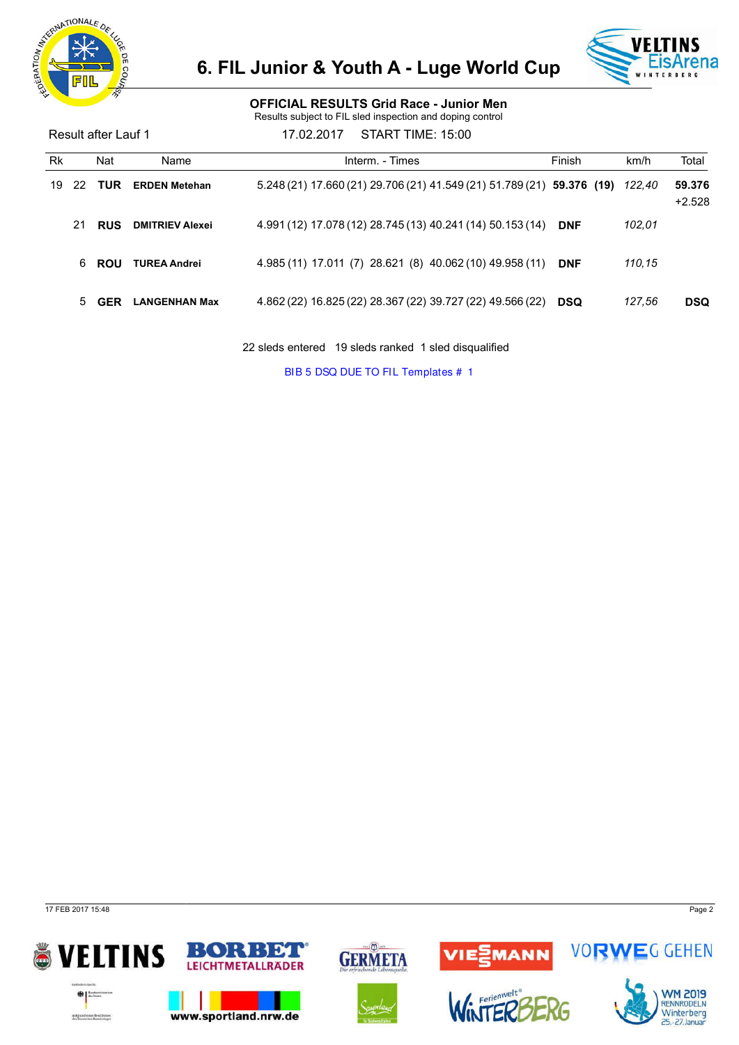



#### OFFICIAL RESULTS Grid Race - Junior Men

Results subject to FIL sled inspection and doping control

| Result after Lauf 1 |    |            |                        | START TIME: 15:00<br>17.02.2017                                         |            |        |                    |
|---------------------|----|------------|------------------------|-------------------------------------------------------------------------|------------|--------|--------------------|
| Rk                  |    | Nat        | Name                   | Interm. - Times                                                         | Finish     | km/h   | Total              |
| 19                  | 22 | <b>TUR</b> | <b>ERDEN Metehan</b>   | $5.248(21)$ 17.660 (21) 29.706 (21) 41.549 (21) 51.789 (21) 59.376 (19) |            | 122,40 | 59,376<br>$+2.528$ |
|                     | 21 | <b>RUS</b> | <b>DMITRIEV Alexei</b> | 4.991 (12) 17.078 (12) 28.745 (13) 40.241 (14) 50.153 (14)              | <b>DNF</b> | 102,01 |                    |
|                     | 6. | <b>ROU</b> | <b>TUREA Andrei</b>    | 4.985 (11) 17.011 (7) 28.621 (8) 40.062 (10) 49.958 (11)                | <b>DNF</b> | 110,15 |                    |
|                     |    | <b>GER</b> | <b>LANGENHAN Max</b>   | 4.862 (22) 16.825 (22) 28.367 (22) 39.727 (22) 49.566 (22)              | <b>DSQ</b> | 127.56 | <b>DSQ</b>         |

22 sleds entered 19 sleds ranked 1 sled disqualified

BIB 5 DSQ DUE TO FIL Templates # 1

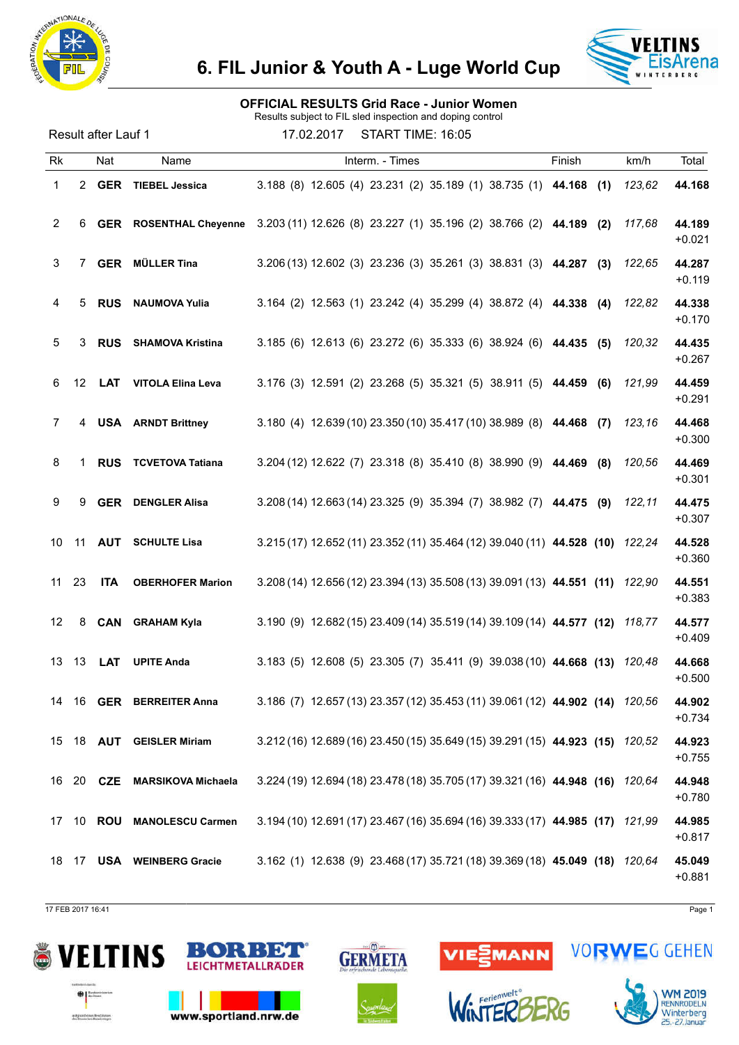



#### OFFICIAL RESULTS Grid Race - Junior Women

Results subject to FIL sled inspection and doping control

Result after Lauf 1 17.02.2017 START TIME: 16:05

| <b>Rk</b> |       | Nat           | Name                          | Interm. - Times                                                               | Finish | km/h          | Total              |
|-----------|-------|---------------|-------------------------------|-------------------------------------------------------------------------------|--------|---------------|--------------------|
| 1         | 2     | GER           | <b>TIEBEL Jessica</b>         | 3.188 (8) 12.605 (4) 23.231 (2) 35.189 (1) 38.735 (1) 44.168                  |        | 123,62<br>(1) | 44.168             |
| 2         | 6     |               | <b>GER</b> ROSENTHAL Chevenne | 3.203 (11) 12.626 (8) 23.227 (1) 35.196 (2) 38.766 (2) 44.189 (2)             |        | 117,68        | 44.189<br>$+0.021$ |
| 3         | 7     | <b>GER</b>    | <b>MÜLLER Tina</b>            | 3.206 (13) 12.602 (3) 23.236 (3) 35.261 (3) 38.831 (3) 44.287 (3)             |        | 122,65        | 44.287<br>$+0.119$ |
| 4         | 5     | <b>RUS</b>    | <b>NAUMOVA Yulia</b>          | 3.164 (2) 12.563 (1) 23.242 (4) 35.299 (4) 38.872 (4) 44.338 (4)              |        | 122,82        | 44.338<br>$+0.170$ |
| 5         | 3     | <b>RUS</b>    | <b>SHAMOVA Kristina</b>       | 3.185 (6) 12.613 (6) 23.272 (6) 35.333 (6) 38.924 (6) 44.435 (5)              |        | 120,32        | 44.435<br>$+0.267$ |
| 6         | 12    | LAT           | <b>VITOLA Elina Leva</b>      | 3.176 (3) 12.591 (2) 23.268 (5) 35.321 (5) 38.911 (5) 44.459 (6)              |        | 121,99        | 44.459<br>$+0.291$ |
| 7         | 4     |               | <b>USA</b> ARNDT Brittney     | 3.180 (4) 12.639 (10) 23.350 (10) 35.417 (10) 38.989 (8) 44.468 (7)           |        | 123,16        | 44.468<br>$+0.300$ |
| 8         | 1     | <b>RUS</b>    | <b>TCVETOVA Tatiana</b>       | 3.204 (12) 12.622 (7) 23.318 (8) 35.410 (8) 38.990 (9) 44.469 (8)             |        | 120,56        | 44.469<br>$+0.301$ |
| 9         | 9     | <b>GER</b>    | <b>DENGLER Alisa</b>          | 3.208 (14) 12.663 (14) 23.325 (9) 35.394 (7) 38.982 (7) 44.475 (9)            |        | 122,11        | 44.475<br>$+0.307$ |
| 10        | 11    | AUT           | <b>SCHULTE Lisa</b>           | 3.215 (17) 12.652 (11) 23.352 (11) 35.464 (12) 39.040 (11) 44.528 (10)        |        | 122,24        | 44.528<br>$+0.360$ |
| 11        | 23    | <b>ITA</b>    | <b>OBERHOFER Marion</b>       | 3.208 (14) 12.656 (12) 23.394 (13) 35.508 (13) 39.091 (13) 44.551 (11) 122,90 |        |               | 44.551<br>$+0.383$ |
| 12        | 8     | CAN           | <b>GRAHAM Kyla</b>            | 3.190 (9) 12.682 (15) 23.409 (14) 35.519 (14) 39.109 (14) 44.577 (12)         |        | 118,77        | 44.577<br>$+0.409$ |
| 13        | 13    | <b>LAT</b>    | <b>UPITE Anda</b>             | 3.183 (5) 12.608 (5) 23.305 (7) 35.411 (9) 39.038 (10) 44.668 (13)            |        | 120,48        | 44.668<br>$+0.500$ |
| 14        |       | 16 <b>GER</b> | <b>BERREITER Anna</b>         | 3.186 (7) 12.657 (13) 23.357 (12) 35.453 (11) 39.061 (12) 44.902 (14) 120,56  |        |               | 44.902<br>$+0.734$ |
|           |       |               | 15 18 AUT GEISLER Miriam      | 3.212 (16) 12.689 (16) 23.450 (15) 35.649 (15) 39.291 (15) 44.923 (15) 120,52 |        |               | 44.923<br>$+0.755$ |
|           | 16 20 |               | <b>CZE</b> MARSIKOVA Michaela | 3.224 (19) 12.694 (18) 23.478 (18) 35.705 (17) 39.321 (16) 44.948 (16) 120,64 |        |               | 44.948<br>$+0.780$ |
| 17        | 10    |               | <b>ROU MANOLESCU Carmen</b>   | 3.194 (10) 12.691 (17) 23.467 (16) 35.694 (16) 39.333 (17) 44.985 (17) 121,99 |        |               | 44.985<br>$+0.817$ |
|           | 18 17 |               | <b>USA</b> WEINBERG Gracie    | 3.162 (1) 12.638 (9) 23.468 (17) 35.721 (18) 39.369 (18) 45.049 (18) 120,64   |        |               | 45.049<br>$+0.881$ |

17 FEB 2017 16:41 Page 1

WM 2019<br>RENNRODELN<br>Winterberg

25 .- 27 Januar

**VORWEG GEHEN** 







www.sportland.nrw.de





VIESMANN